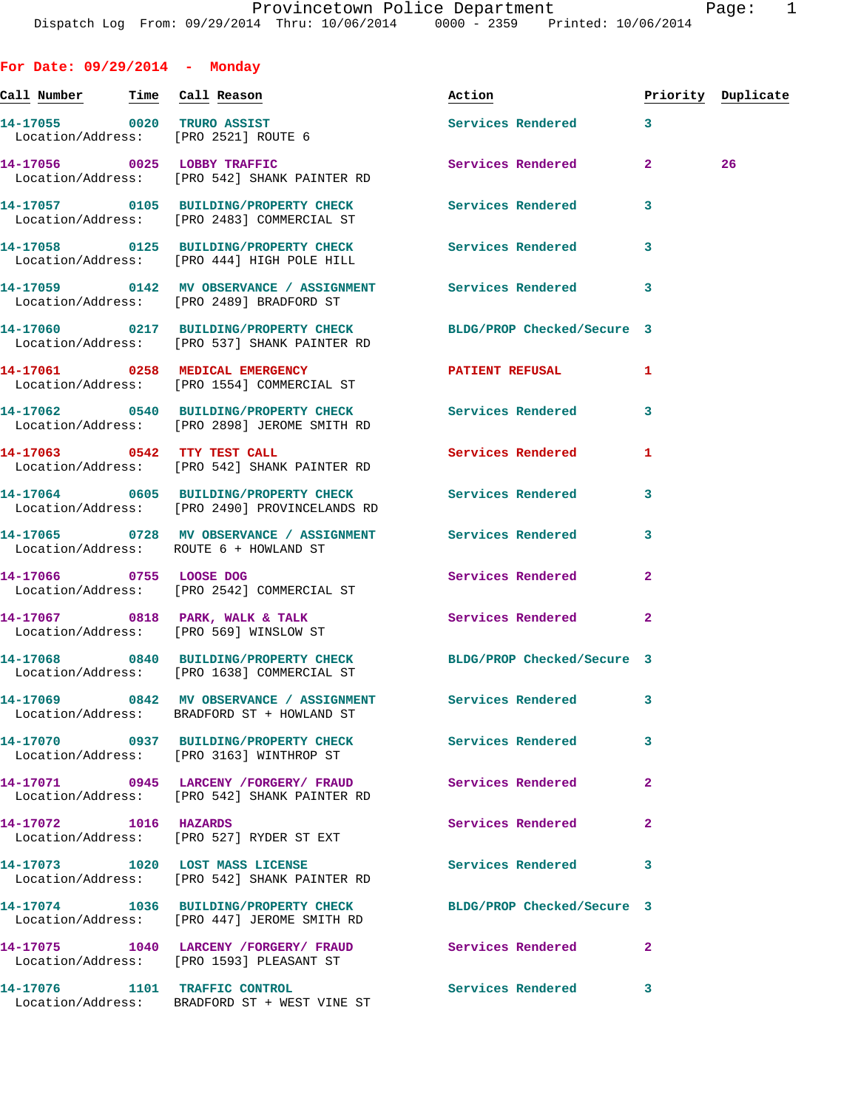| For Date: $09/29/2014$ - Monday                                    |                                                                                                                 |                            |                |                    |
|--------------------------------------------------------------------|-----------------------------------------------------------------------------------------------------------------|----------------------------|----------------|--------------------|
| <u>Call Number — Time Call Reason</u>                              |                                                                                                                 | Action                     |                | Priority Duplicate |
| 14-17055 0020 TRURO ASSIST<br>Location/Address: [PRO 2521] ROUTE 6 |                                                                                                                 | Services Rendered 3        |                |                    |
|                                                                    | 14-17056 0025 LOBBY TRAFFIC<br>Location/Address: [PRO 542] SHANK PAINTER RD                                     | Services Rendered          | $\mathbf{2}$   | 26                 |
|                                                                    | 14-17057 0105 BUILDING/PROPERTY CHECK<br>Location/Address: [PRO 2483] COMMERCIAL ST                             | Services Rendered          | 3              |                    |
|                                                                    | 14-17058 0125 BUILDING/PROPERTY CHECK Services Rendered<br>Location/Address: [PRO 444] HIGH POLE HILL           |                            | 3              |                    |
|                                                                    | 14-17059 0142 MV OBSERVANCE / ASSIGNMENT Services Rendered 3<br>Location/Address: [PRO 2489] BRADFORD ST        |                            |                |                    |
|                                                                    | 14-17060 0217 BUILDING/PROPERTY CHECK<br>Location/Address: [PRO 537] SHANK PAINTER RD                           | BLDG/PROP Checked/Secure 3 |                |                    |
|                                                                    | 14-17061 0258 MEDICAL EMERGENCY<br>Location/Address: [PRO 1554] COMMERCIAL ST                                   | <b>PATIENT REFUSAL</b>     | 1              |                    |
|                                                                    | 14-17062 0540 BUILDING/PROPERTY CHECK Services Rendered<br>Location/Address: [PRO 2898] JEROME SMITH RD         |                            | 3              |                    |
| 14-17063 0542 TTY TEST CALL                                        | Location/Address: [PRO 542] SHANK PAINTER RD                                                                    | <b>Services Rendered</b>   | 1              |                    |
|                                                                    | 14-17064 0605 BUILDING/PROPERTY CHECK Services Rendered<br>Location/Address: [PRO 2490] PROVINCELANDS RD        |                            | 3              |                    |
| Location/Address: ROUTE 6 + HOWLAND ST                             | 14-17065 0728 MV OBSERVANCE / ASSIGNMENT Services Rendered                                                      |                            | 3              |                    |
| 14-17066 0755 LOOSE DOG                                            | Location/Address: [PRO 2542] COMMERCIAL ST                                                                      | Services Rendered          | $\overline{a}$ |                    |
|                                                                    | 14-17067 0818 PARK, WALK & TALK<br>Location/Address: [PRO 569] WINSLOW ST                                       | <b>Services Rendered</b>   | $\mathbf{2}$   |                    |
|                                                                    | 14-17068 0840 BUILDING/PROPERTY CHECK BLDG/PROP Checked/Secure 3<br>Location/Address: [PRO 1638] COMMERCIAL ST  |                            |                |                    |
|                                                                    | 14-17069 0842 MV OBSERVANCE / ASSIGNMENT<br>Location/Address: BRADFORD ST + HOWLAND ST                          | <b>Services Rendered</b>   | 3              |                    |
|                                                                    | 14-17070 0937 BUILDING/PROPERTY CHECK<br>Location/Address: [PRO 3163] WINTHROP ST                               | Services Rendered          | 3              |                    |
|                                                                    | Location/Address: [PRO 542] SHANK PAINTER RD                                                                    | Services Rendered          | $\mathbf{2}$   |                    |
| 14-17072 1016 HAZARDS                                              | Location/Address: [PRO 527] RYDER ST EXT                                                                        | <b>Services Rendered</b>   | $\overline{a}$ |                    |
|                                                                    | 14-17073 1020 LOST MASS LICENSE<br>Location/Address: [PRO 542] SHANK PAINTER RD                                 | Services Rendered          | 3              |                    |
|                                                                    | 14-17074 1036 BUILDING/PROPERTY CHECK BLDG/PROP Checked/Secure 3<br>Location/Address: [PRO 447] JEROME SMITH RD |                            |                |                    |
|                                                                    | 14-17075 1040 LARCENY / FORGERY / FRAUD Services Rendered<br>Location/Address: [PRO 1593] PLEASANT ST           |                            | $\mathbf{2}$   |                    |
| 14-17076 1101 TRAFFIC CONTROL                                      | Location/Address: BRADFORD ST + WEST VINE ST                                                                    | Services Rendered          | 3              |                    |
|                                                                    |                                                                                                                 |                            |                |                    |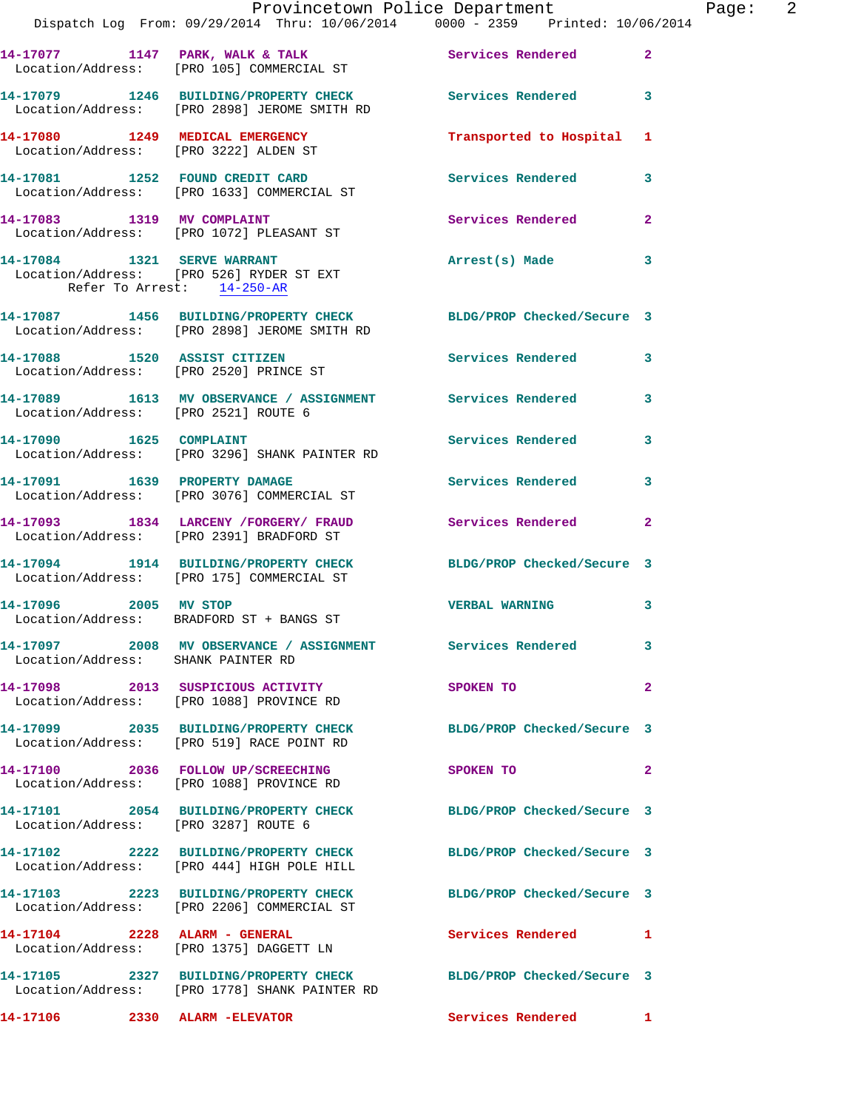|                                      | Dispatch Log From: 09/29/2014 Thru: 10/06/2014 0000 - 2359 Printed: 10/06/2014                                    | Provincetown Police Department | Page: 2        |
|--------------------------------------|-------------------------------------------------------------------------------------------------------------------|--------------------------------|----------------|
|                                      | 14-17077 1147 PARK, WALK & TALK (Services Rendered Location/Address: [PRO 105] COMMERCIAL ST                      |                                | $\overline{2}$ |
|                                      | 14-17079 1246 BUILDING/PROPERTY CHECK Services Rendered 3<br>Location/Address: [PRO 2898] JEROME SMITH RD         |                                |                |
|                                      | 14-17080 1249 MEDICAL EMERGENCY<br>Location/Address: [PRO 3222] ALDEN ST                                          | Transported to Hospital 1      |                |
|                                      | 14-17081 1252 FOUND CREDIT CARD<br>Location/Address: [PRO 1633] COMMERCIAL ST                                     | Services Rendered 3            |                |
|                                      | 14-17083 1319 MV COMPLAINT<br>Location/Address: [PRO 1072] PLEASANT ST                                            | Services Rendered 2            |                |
| Refer To Arrest: 14-250-AR           | 14-17084 1321 SERVE WARRANT<br>Location/Address: [PRO 526] RYDER ST EXT                                           | Arrest(s) Made                 | 3              |
|                                      | 14-17087 1456 BUILDING/PROPERTY CHECK BLDG/PROP Checked/Secure 3<br>Location/Address: [PRO 2898] JEROME SMITH RD  |                                |                |
|                                      | 14-17088 1520 ASSIST CITIZEN<br>Location/Address: [PRO 2520] PRINCE ST                                            | Services Rendered 3            |                |
| Location/Address: [PRO 2521] ROUTE 6 | 14-17089 1613 MV OBSERVANCE / ASSIGNMENT Services Rendered 3                                                      |                                |                |
|                                      | 14-17090 1625 COMPLAINT<br>Location/Address: [PRO 3296] SHANK PAINTER RD                                          | Services Rendered              | 3              |
| 14-17091 1639 PROPERTY DAMAGE        | Location/Address: [PRO 3076] COMMERCIAL ST                                                                        | Services Rendered              | 3              |
|                                      | 14-17093 1834 LARCENY / FORGERY / FRAUD Services Rendered 2<br>Location/Address: [PRO 2391] BRADFORD ST           |                                |                |
|                                      | 14-17094 1914 BUILDING/PROPERTY CHECK BLDG/PROP Checked/Secure 3<br>Location/Address: [PRO 175] COMMERCIAL ST     |                                |                |
|                                      | 14-17096 2005 MV STOP<br>Location/Address: BRADFORD ST + BANGS ST                                                 | <b>VERBAL WARNING</b>          | 3              |
| Location/Address: SHANK PAINTER RD   | 14-17097 2008 MV OBSERVANCE / ASSIGNMENT Services Rendered                                                        |                                | 3              |
|                                      | 14-17098 2013 SUSPICIOUS ACTIVITY<br>Location/Address: [PRO 1088] PROVINCE RD                                     | <b>SPOKEN TO</b>               | $\overline{2}$ |
|                                      | 14-17099 2035 BUILDING/PROPERTY CHECK BLDG/PROP Checked/Secure 3<br>Location/Address: [PRO 519] RACE POINT RD     |                                |                |
|                                      | 14-17100 2036 FOLLOW UP/SCREECHING<br>Location/Address: [PRO 1088] PROVINCE RD                                    | SPOKEN TO                      | 2              |
| Location/Address: [PRO 3287] ROUTE 6 | 14-17101 2054 BUILDING/PROPERTY CHECK BLDG/PROP Checked/Secure 3                                                  |                                |                |
|                                      | 14-17102 2222 BUILDING/PROPERTY CHECK BLDG/PROP Checked/Secure 3<br>Location/Address: [PRO 444] HIGH POLE HILL    |                                |                |
|                                      | 14-17103 2223 BUILDING/PROPERTY CHECK BLDG/PROP Checked/Secure 3<br>Location/Address: [PRO 2206] COMMERCIAL ST    |                                |                |
|                                      | 14-17104 2228 ALARM - GENERAL<br>Location/Address: [PRO 1375] DAGGETT LN                                          | Services Rendered 1            |                |
|                                      | 14-17105 2327 BUILDING/PROPERTY CHECK BLDG/PROP Checked/Secure 3<br>Location/Address: [PRO 1778] SHANK PAINTER RD |                                |                |
| 14-17106   2330 ALARM -ELEVATOR      |                                                                                                                   | Services Rendered 1            |                |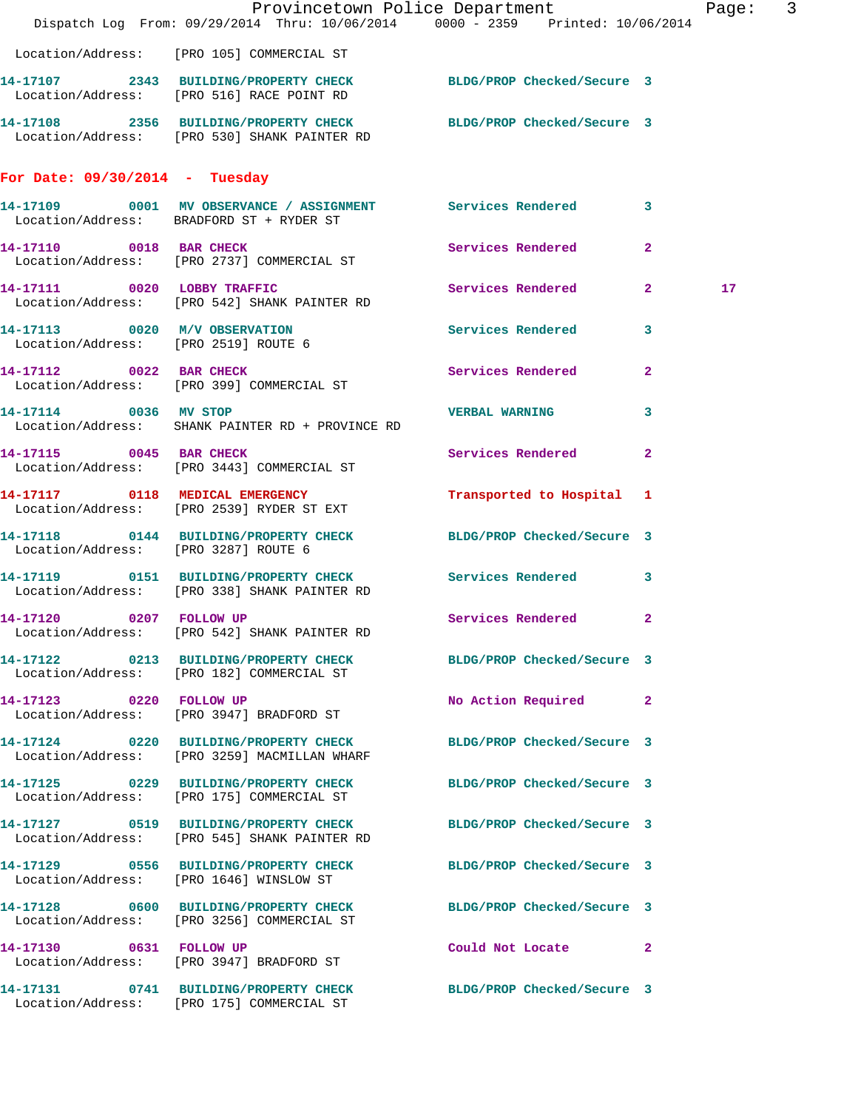|                                                                       | Dispatch Log From: 09/29/2014 Thru: 10/06/2014 0000 - 2359 Printed: 10/06/2014                                   | Provincetown Police Department |                         | Page: 3 |  |
|-----------------------------------------------------------------------|------------------------------------------------------------------------------------------------------------------|--------------------------------|-------------------------|---------|--|
|                                                                       | Location/Address: [PRO 105] COMMERCIAL ST                                                                        |                                |                         |         |  |
|                                                                       | 14-17107 2343 BUILDING/PROPERTY CHECK BLDG/PROP Checked/Secure 3<br>Location/Address: [PRO 516] RACE POINT RD    |                                |                         |         |  |
|                                                                       | 14-17108 2356 BUILDING/PROPERTY CHECK BLDG/PROP Checked/Secure 3<br>Location/Address: [PRO 530] SHANK PAINTER RD |                                |                         |         |  |
| For Date: $09/30/2014$ - Tuesday                                      |                                                                                                                  |                                |                         |         |  |
|                                                                       | 14-17109 0001 MV OBSERVANCE / ASSIGNMENT Services Rendered 3<br>Location/Address: BRADFORD ST + RYDER ST         |                                |                         |         |  |
| 14-17110 0018 BAR CHECK                                               | Location/Address: [PRO 2737] COMMERCIAL ST                                                                       | Services Rendered 2            |                         |         |  |
|                                                                       | 14-17111 0020 LOBBY TRAFFIC<br>Location/Address: [PRO 542] SHANK PAINTER RD                                      | Services Rendered 2            |                         | 17      |  |
| 14-17113 0020 M/V OBSERVATION<br>Location/Address: [PRO 2519] ROUTE 6 |                                                                                                                  | Services Rendered              | $\overline{\mathbf{3}}$ |         |  |
|                                                                       | 14-17112 0022 BAR CHECK<br>Location/Address: [PRO 399] COMMERCIAL ST                                             | Services Rendered              | $\mathbf{2}$            |         |  |
| 14-17114 0036 MV STOP                                                 | Location/Address: SHANK PAINTER RD + PROVINCE RD                                                                 | <b>VERBAL WARNING</b>          | 3                       |         |  |
|                                                                       | 14-17115 0045 BAR CHECK<br>Location/Address: [PRO 3443] COMMERCIAL ST                                            | Services Rendered 2            |                         |         |  |
|                                                                       | 14-17117 0118 MEDICAL EMERGENCY<br>Location/Address: [PRO 2539] RYDER ST EXT                                     | Transported to Hospital 1      |                         |         |  |
| Location/Address: [PRO 3287] ROUTE 6                                  | 14-17118 0144 BUILDING/PROPERTY CHECK BLDG/PROP Checked/Secure 3                                                 |                                |                         |         |  |
|                                                                       | 14-17119 0151 BUILDING/PROPERTY CHECK Services Rendered 3<br>Location/Address: [PRO 338] SHANK PAINTER RD        |                                |                         |         |  |
| 14-17120 0207 FOLLOW UP                                               | Location/Address: [PRO 542] SHANK PAINTER RD                                                                     | Services Rendered 2            |                         |         |  |
|                                                                       | 14-17122 0213 BUILDING/PROPERTY CHECK BLDG/PROP Checked/Secure 3<br>Location/Address: [PRO 182] COMMERCIAL ST    |                                |                         |         |  |
|                                                                       | 14-17123 0220 FOLLOW UP<br>Location/Address: [PRO 3947] BRADFORD ST                                              | No Action Required 2           |                         |         |  |
|                                                                       | 14-17124 0220 BUILDING/PROPERTY CHECK BLDG/PROP Checked/Secure 3<br>Location/Address: [PRO 3259] MACMILLAN WHARF |                                |                         |         |  |
|                                                                       | 14-17125 0229 BUILDING/PROPERTY CHECK<br>Location/Address: [PRO 175] COMMERCIAL ST                               | BLDG/PROP Checked/Secure 3     |                         |         |  |
|                                                                       | 14-17127 0519 BUILDING/PROPERTY CHECK<br>Location/Address: [PRO 545] SHANK PAINTER RD                            | BLDG/PROP Checked/Secure 3     |                         |         |  |
|                                                                       | 14-17129 0556 BUILDING/PROPERTY CHECK<br>Location/Address: [PRO 1646] WINSLOW ST                                 | BLDG/PROP Checked/Secure 3     |                         |         |  |
|                                                                       | 14-17128 0600 BUILDING/PROPERTY CHECK<br>Location/Address: [PRO 3256] COMMERCIAL ST                              | BLDG/PROP Checked/Secure 3     |                         |         |  |
| 14-17130 0631 FOLLOW UP                                               | Location/Address: [PRO 3947] BRADFORD ST                                                                         | Could Not Locate 2             |                         |         |  |
|                                                                       | 14-17131 0741 BUILDING/PROPERTY CHECK BLDG/PROP Checked/Secure 3<br>Location/Address: [PRO 175] COMMERCIAL ST    |                                |                         |         |  |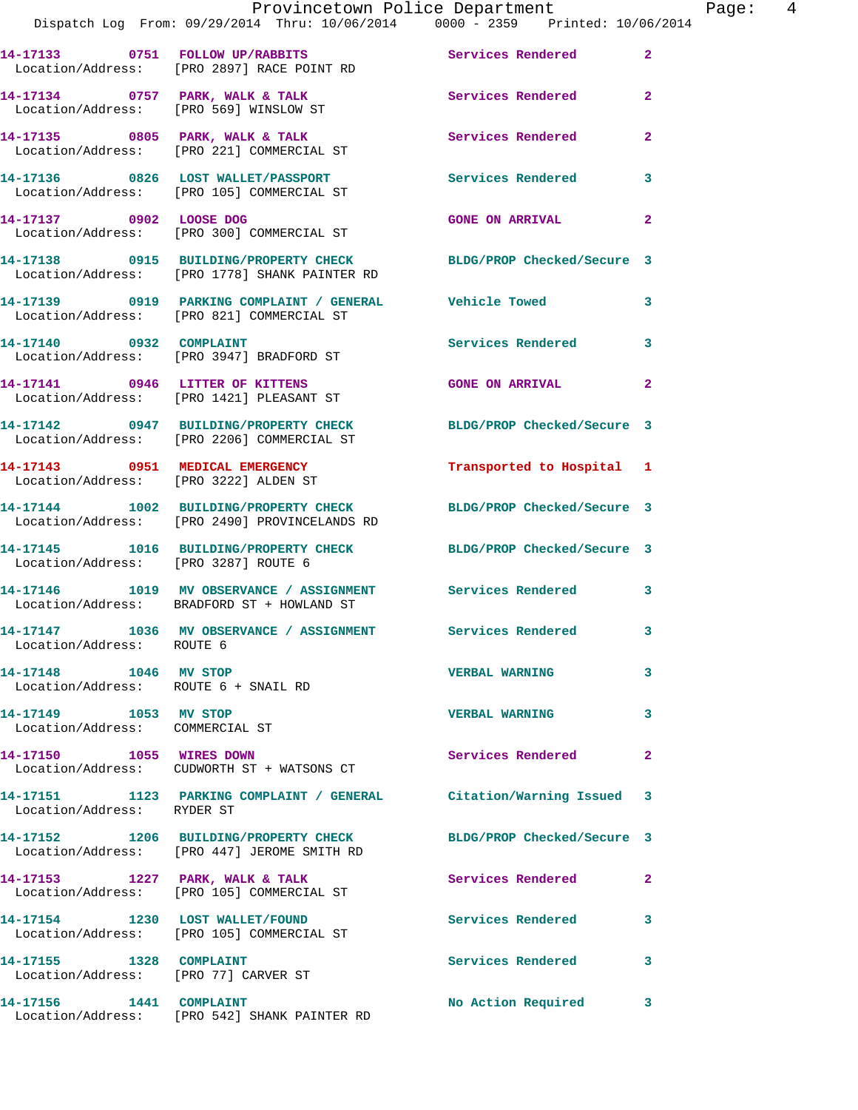|                                                                 | Provincetown Police Department                                                                                    |                            |                |
|-----------------------------------------------------------------|-------------------------------------------------------------------------------------------------------------------|----------------------------|----------------|
|                                                                 | Dispatch Log From: 09/29/2014 Thru: 10/06/2014 0000 - 2359 Printed: 10/06/2014                                    |                            |                |
|                                                                 | 14-17133 0751 FOLLOW UP/RABBITS<br>Location/Address: [PRO 2897] RACE POINT RD                                     | Services Rendered          | $\overline{2}$ |
|                                                                 | 14-17134 0757 PARK, WALK & TALK<br>Location/Address: [PRO 569] WINSLOW ST                                         | Services Rendered          | $\mathbf{2}$   |
|                                                                 | 14-17135 0805 PARK, WALK & TALK<br>Location/Address: [PRO 221] COMMERCIAL ST                                      | Services Rendered          | $\mathbf{2}$   |
|                                                                 | 14-17136 0826 LOST WALLET/PASSPORT               Services Rendered Location/Address:   [PRO 105] COMMERCIAL ST    |                            | 3              |
|                                                                 |                                                                                                                   | <b>GONE ON ARRIVAL</b>     | $\mathbf{2}$   |
|                                                                 | 14-17138 0915 BUILDING/PROPERTY CHECK BLDG/PROP Checked/Secure 3<br>Location/Address: [PRO 1778] SHANK PAINTER RD |                            |                |
|                                                                 | 14-17139 0919 PARKING COMPLAINT / GENERAL Vehicle Towed<br>Location/Address: [PRO 821] COMMERCIAL ST              |                            | 3              |
|                                                                 | 14-17140 0932 COMPLAINT<br>Location/Address: [PRO 3947] BRADFORD ST                                               | <b>Services Rendered</b>   | 3              |
|                                                                 | 14-17141 0946 LITTER OF KITTENS<br>Location/Address: [PRO 1421] PLEASANT ST                                       | <b>GONE ON ARRIVAL</b>     | $\overline{2}$ |
|                                                                 | 14-17142 0947 BUILDING/PROPERTY CHECK BLDG/PROP Checked/Secure 3<br>Location/Address: [PRO 2206] COMMERCIAL ST    |                            |                |
|                                                                 | 14-17143 0951 MEDICAL EMERGENCY<br>Location/Address: [PRO 3222] ALDEN ST                                          | Transported to Hospital 1  |                |
|                                                                 | 14-17144 1002 BUILDING/PROPERTY CHECK BLDG/PROP Checked/Secure 3<br>Location/Address: [PRO 2490] PROVINCELANDS RD |                            |                |
| Location/Address: [PRO 3287] ROUTE 6                            | 14-17145 1016 BUILDING/PROPERTY CHECK BLDG/PROP Checked/Secure 3                                                  |                            |                |
|                                                                 | 14-17146 1019 MV OBSERVANCE / ASSIGNMENT Services Rendered<br>Location/Address: BRADFORD ST + HOWLAND ST          |                            | 3              |
| Location/Address: ROUTE 6                                       | 14-17147 1036 MV OBSERVANCE / ASSIGNMENT Services Rendered                                                        |                            |                |
| 14-17148 1046 MV STOP<br>Location/Address: ROUTE 6 + SNAIL RD   |                                                                                                                   | <b>VERBAL WARNING</b>      | 3              |
| 14-17149 1053 MV STOP<br>Location/Address: COMMERCIAL ST        |                                                                                                                   | <b>VERBAL WARNING</b>      | 3              |
|                                                                 | 14-17150 1055 WIRES DOWN<br>Location/Address: CUDWORTH ST + WATSONS CT                                            | Services Rendered          | $\mathbf{2}$   |
| Location/Address: RYDER ST                                      | 14-17151 1123 PARKING COMPLAINT / GENERAL Citation/Warning Issued 3                                               |                            |                |
|                                                                 | 14-17152 1206 BUILDING/PROPERTY CHECK<br>Location/Address: [PRO 447] JEROME SMITH RD                              | BLDG/PROP Checked/Secure 3 |                |
|                                                                 | 14-17153 1227 PARK, WALK & TALK<br>Location/Address: [PRO 105] COMMERCIAL ST                                      | Services Rendered          | $\mathbf{2}$   |
|                                                                 | 14-17154 1230 LOST WALLET/FOUND<br>Location/Address: [PRO 105] COMMERCIAL ST                                      | Services Rendered          | 3              |
| 14-17155 1328 COMPLAINT<br>Location/Address: [PRO 77] CARVER ST |                                                                                                                   | Services Rendered          | 3              |
| 14-17156 1441                                                   | <b>COMPLAINT</b>                                                                                                  | No Action Required         | 3              |

Location/Address: [PRO 542] SHANK PAINTER RD

Page: 4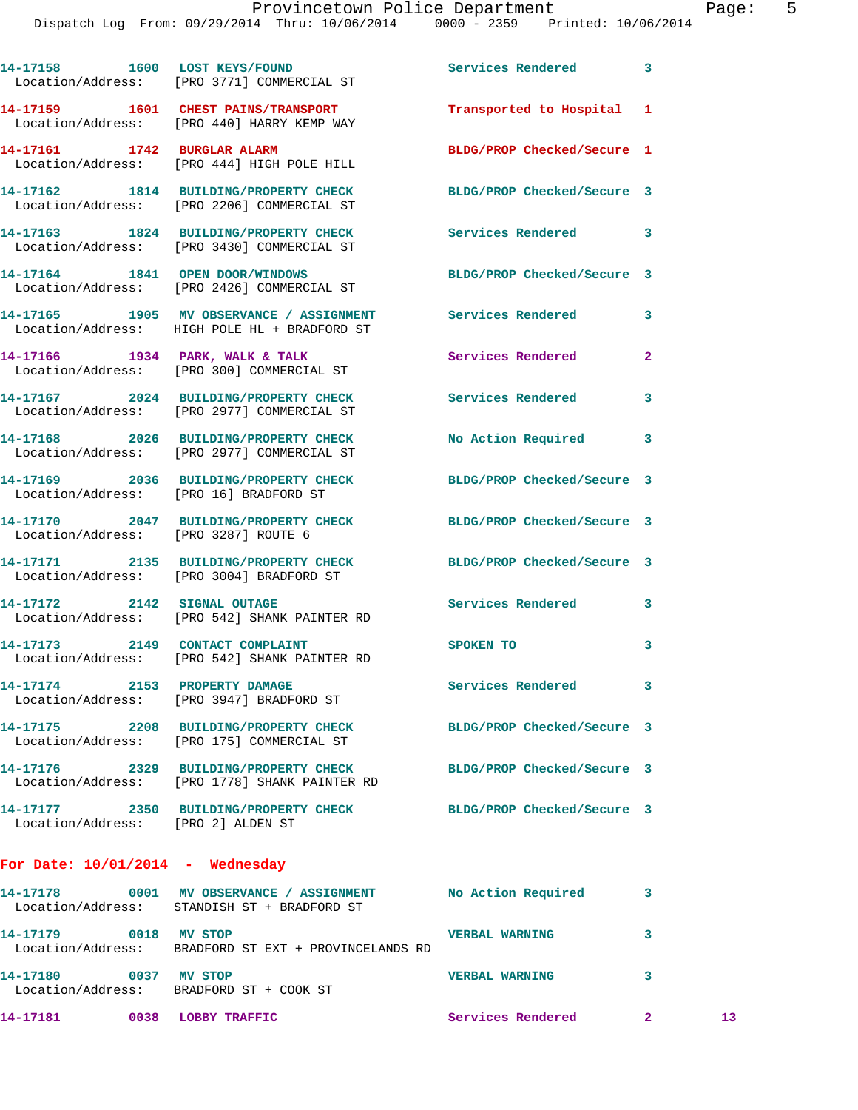|                                        | 14-17158 1600 LOST KEYS/FOUND<br>Location/Address: [PRO 3771] COMMERCIAL ST                                | Services Rendered          | 3            |
|----------------------------------------|------------------------------------------------------------------------------------------------------------|----------------------------|--------------|
|                                        | 14-17159 1601 CHEST PAINS/TRANSPORT<br>Location/Address: [PRO 440] HARRY KEMP WAY                          | Transported to Hospital 1  |              |
|                                        | 14-17161 1742 BURGLAR ALARM<br>Location/Address: [PRO 444] HIGH POLE HILL                                  | BLDG/PROP Checked/Secure 1 |              |
|                                        | 14-17162 1814 BUILDING/PROPERTY CHECK<br>Location/Address: [PRO 2206] COMMERCIAL ST                        | BLDG/PROP Checked/Secure 3 |              |
|                                        | 14-17163 1824 BUILDING/PROPERTY CHECK<br>Location/Address: [PRO 3430] COMMERCIAL ST                        | <b>Services Rendered</b>   | 3            |
|                                        | 14-17164 1841 OPEN DOOR/WINDOWS<br>Location/Address: [PRO 2426] COMMERCIAL ST                              | BLDG/PROP Checked/Secure 3 |              |
|                                        | 14-17165 1905 MV OBSERVANCE / ASSIGNMENT Services Rendered<br>Location/Address: HIGH POLE HL + BRADFORD ST |                            | 3            |
|                                        | 14-17166 1934 PARK, WALK & TALK<br>Location/Address: [PRO 300] COMMERCIAL ST                               | Services Rendered          | $\mathbf{2}$ |
|                                        | 14-17167 2024 BUILDING/PROPERTY CHECK<br>Location/Address: [PRO 2977] COMMERCIAL ST                        | <b>Services Rendered</b>   | 3            |
|                                        | 14-17168 2026 BUILDING/PROPERTY CHECK<br>Location/Address: [PRO 2977] COMMERCIAL ST                        | No Action Required 3       |              |
| Location/Address: [PRO 16] BRADFORD ST | 14-17169 2036 BUILDING/PROPERTY CHECK                                                                      | BLDG/PROP Checked/Secure 3 |              |
| Location/Address: [PRO 3287] ROUTE 6   | 14-17170 2047 BUILDING/PROPERTY CHECK                                                                      | BLDG/PROP Checked/Secure 3 |              |
|                                        | 14-17171 2135 BUILDING/PROPERTY CHECK<br>Location/Address: [PRO 3004] BRADFORD ST                          | BLDG/PROP Checked/Secure 3 |              |
| 14-17172 2142 SIGNAL OUTAGE            | Location/Address: [PRO 542] SHANK PAINTER RD                                                               | <b>Services Rendered</b>   | 3            |
|                                        | 14-17173 2149 CONTACT COMPLAINT<br>Location/Address: [PRO 542] SHANK PAINTER RD                            | SPOKEN TO                  | 3            |
| 14-17174 2153 PROPERTY DAMAGE          | Location/Address: [PRO 3947] BRADFORD ST                                                                   | <b>Services Rendered</b>   | 3            |
|                                        | 14-17175 2208 BUILDING/PROPERTY CHECK<br>Location/Address: [PRO 175] COMMERCIAL ST                         | BLDG/PROP Checked/Secure 3 |              |
|                                        | 14-17176 2329 BUILDING/PROPERTY CHECK<br>Location/Address: [PRO 1778] SHANK PAINTER RD                     | BLDG/PROP Checked/Secure 3 |              |
| Location/Address: [PRO 2] ALDEN ST     | 14-17177 2350 BUILDING/PROPERTY CHECK                                                                      | BLDG/PROP Checked/Secure 3 |              |
| For Date: $10/01/2014$ - Wednesday     |                                                                                                            |                            |              |
|                                        | 14-17178 0001 MV OBSERVANCE / ASSIGNMENT<br>Location/Address: STANDISH ST + BRADFORD ST                    | No Action Required         | 3            |
|                                        |                                                                                                            |                            |              |

| 14-17181                      | 0038 | LOBBY TRAFFIC                                 | Services Rendered     | 13 |
|-------------------------------|------|-----------------------------------------------|-----------------------|----|
| 14-17180<br>Location/Address: | 0037 | MV STOP<br>BRADFORD ST + COOK ST              | <b>VERBAL WARNING</b> |    |
| 14-17179<br>Location/Address: | 0018 | MV STOP<br>BRADFORD ST EXT + PROVINCELANDS RD | <b>VERBAL WARNING</b> |    |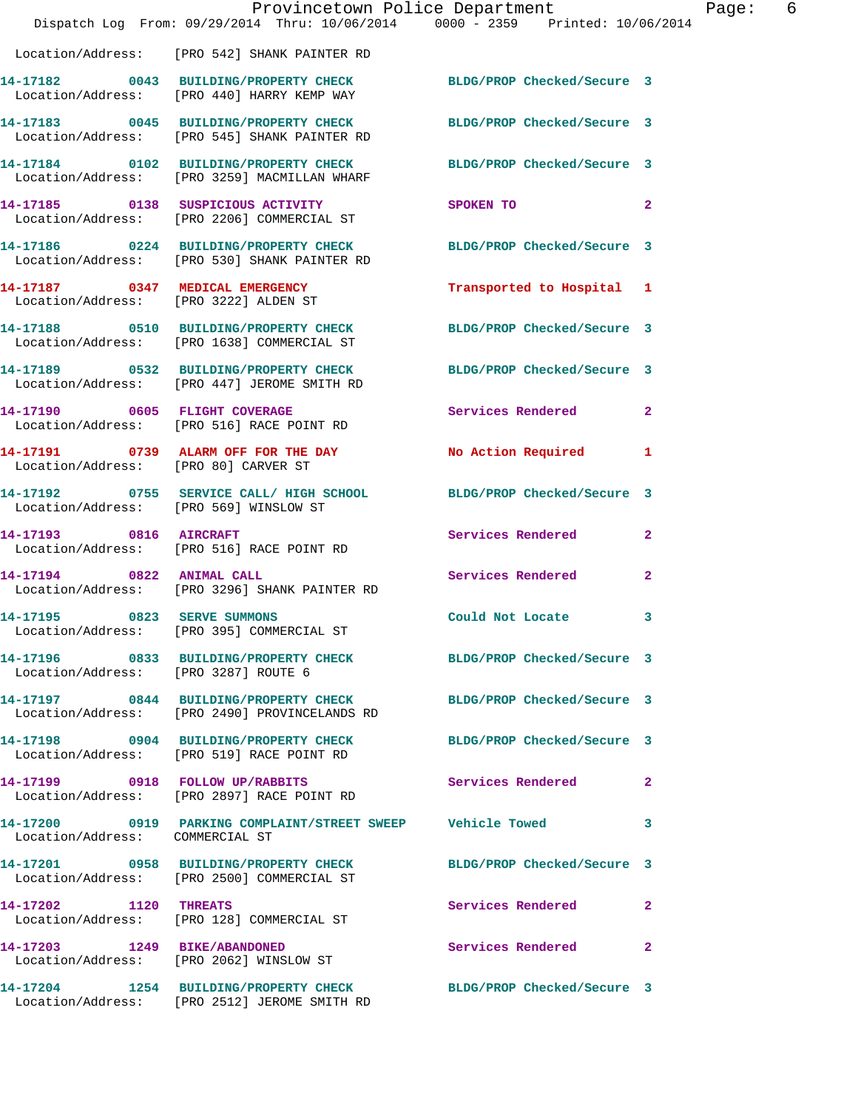|                                      | Provincetown Police Department<br>Dispatch Log From: 09/29/2014 Thru: 10/06/2014 0000 - 2359 Printed: 10/06/2014  |                                                                                                                | Page: 6      |
|--------------------------------------|-------------------------------------------------------------------------------------------------------------------|----------------------------------------------------------------------------------------------------------------|--------------|
|                                      | Location/Address: [PRO 542] SHANK PAINTER RD                                                                      |                                                                                                                |              |
|                                      | 14-17182 0043 BUILDING/PROPERTY CHECK BLDG/PROP Checked/Secure 3<br>Location/Address: [PRO 440] HARRY KEMP WAY    |                                                                                                                |              |
|                                      | 14-17183 0045 BUILDING/PROPERTY CHECK BLDG/PROP Checked/Secure 3<br>Location/Address: [PRO 545] SHANK PAINTER RD  |                                                                                                                |              |
|                                      | 14-17184 0102 BUILDING/PROPERTY CHECK BLDG/PROP Checked/Secure 3<br>Location/Address: [PRO 3259] MACMILLAN WHARF  |                                                                                                                |              |
|                                      | 14-17185 0138 SUSPICIOUS ACTIVITY<br>Location/Address: [PRO 2206] COMMERCIAL ST                                   | SPOKEN TO THE STATE OF THE STATE OF THE STATE OF THE STATE OF THE STATE OF THE STATE OF THE STATE OF THE STATE | $\mathbf{2}$ |
|                                      | 14-17186 0224 BUILDING/PROPERTY CHECK BLDG/PROP Checked/Secure 3<br>Location/Address: [PRO 530] SHANK PAINTER RD  |                                                                                                                |              |
|                                      | 14-17187 0347 MEDICAL EMERGENCY<br>Location/Address: [PRO 3222] ALDEN ST                                          | Transported to Hospital 1                                                                                      |              |
|                                      | 14-17188 0510 BUILDING/PROPERTY CHECK BLDG/PROP Checked/Secure 3<br>Location/Address: [PRO 1638] COMMERCIAL ST    |                                                                                                                |              |
|                                      | 14-17189 0532 BUILDING/PROPERTY CHECK BLDG/PROP Checked/Secure 3<br>Location/Address: [PRO 447] JEROME SMITH RD   |                                                                                                                |              |
|                                      | 14-17190 0605 FLIGHT COVERAGE<br>Location/Address: [PRO 516] RACE POINT RD                                        | Services Rendered 2                                                                                            |              |
| Location/Address: [PRO 80] CARVER ST | 14-17191 0739 ALARM OFF FOR THE DAY                                                                               | No Action Required 1                                                                                           |              |
|                                      | 14-17192 0755 SERVICE CALL/HIGH SCHOOL BLDG/PROP Checked/Secure 3<br>Location/Address: [PRO 569] WINSLOW ST       |                                                                                                                |              |
|                                      | 14-17193 0816 AIRCRAFT<br>Location/Address: [PRO 516] RACE POINT RD                                               | Services Rendered                                                                                              | $\mathbf{2}$ |
| 14-17194 0822 ANIMAL CALL            | Location/Address: [PRO 3296] SHANK PAINTER RD                                                                     | Services Rendered 2                                                                                            |              |
| 14-17195 0823 SERVE SUMMONS          | Location/Address: [PRO 395] COMMERCIAL ST                                                                         | Could Not Locate                                                                                               | 3            |
| Location/Address: [PRO 3287] ROUTE 6 | 14-17196 0833 BUILDING/PROPERTY CHECK BLDG/PROP Checked/Secure 3                                                  |                                                                                                                |              |
|                                      | 14-17197 0844 BUILDING/PROPERTY CHECK BLDG/PROP Checked/Secure 3<br>Location/Address: [PRO 2490] PROVINCELANDS RD |                                                                                                                |              |
|                                      | 14-17198 0904 BUILDING/PROPERTY CHECK<br>Location/Address: [PRO 519] RACE POINT RD                                | BLDG/PROP Checked/Secure 3                                                                                     |              |
|                                      | 14-17199 0918 FOLLOW UP/RABBITS<br>Location/Address: [PRO 2897] RACE POINT RD                                     | <b>Services Rendered</b> 2                                                                                     |              |
| Location/Address: COMMERCIAL ST      | 14-17200 0919 PARKING COMPLAINT/STREET SWEEP Vehicle Towed 3                                                      |                                                                                                                |              |
|                                      | 14-17201 0958 BUILDING/PROPERTY CHECK<br>Location/Address: [PRO 2500] COMMERCIAL ST                               | BLDG/PROP Checked/Secure 3                                                                                     |              |
| 14-17202 1120 THREATS                | Location/Address: [PRO 128] COMMERCIAL ST                                                                         | Services Rendered 2                                                                                            |              |
|                                      | 14-17203 1249 BIKE/ABANDONED<br>Location/Address: [PRO 2062] WINSLOW ST                                           | Services Rendered                                                                                              | $\mathbf{2}$ |
|                                      | 14-17204 1254 BUILDING/PROPERTY CHECK BLDG/PROP Checked/Secure 3<br>Location/Address: [PRO 2512] JEROME SMITH RD  |                                                                                                                |              |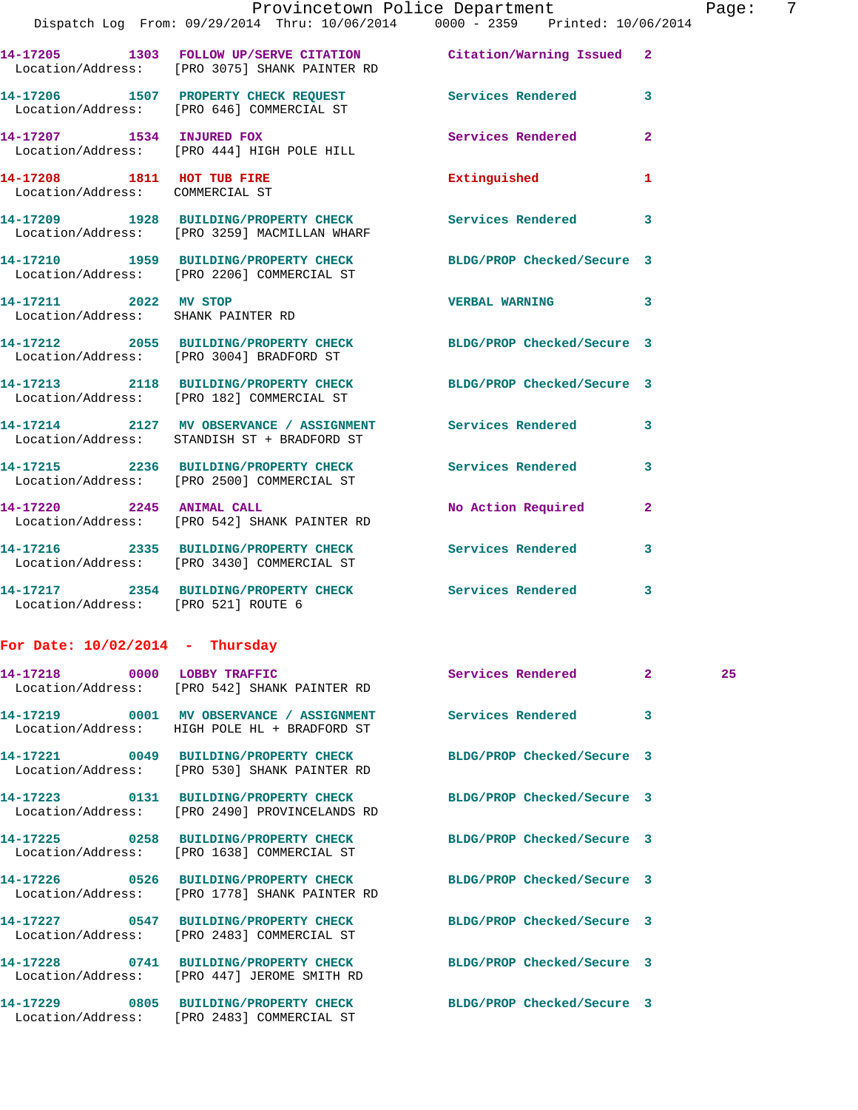|                                     | Provincetown Police Department<br>Dispatch Log From: 09/29/2014 Thru: 10/06/2014 0000 - 2359 Printed: 10/06/2014  |                            | Page              |
|-------------------------------------|-------------------------------------------------------------------------------------------------------------------|----------------------------|-------------------|
|                                     |                                                                                                                   |                            |                   |
|                                     | 14-17205 1303 FOLLOW UP/SERVE CITATION Citation/Warning Issued 2<br>Location/Address: [PRO 3075] SHANK PAINTER RD |                            |                   |
|                                     | 14-17206 1507 PROPERTY CHECK REQUEST Services Rendered<br>Location/Address: [PRO 646] COMMERCIAL ST               |                            | 3                 |
|                                     | 14-17207 1534 INJURED FOX Services Rendered<br>Location/Address: [PRO 444] HIGH POLE HILL                         |                            | $\overline{a}$    |
| 14-17208 1811 HOT TUB FIRE          | Location/Address: COMMERCIAL ST                                                                                   | Extinguished               | 1                 |
|                                     | 14-17209 1928 BUILDING/PROPERTY CHECK Services Rendered<br>Location/Address: [PRO 3259] MACMILLAN WHARF           |                            | 3                 |
|                                     | 14-17210 1959 BUILDING/PROPERTY CHECK BLDG/PROP Checked/Secure 3<br>Location/Address: [PRO 2206] COMMERCIAL ST    |                            |                   |
| Location/Address: SHANK PAINTER RD  | 14-17211 2022 MV STOP 2008 VERBAL WARNING                                                                         |                            | 3                 |
|                                     | 14-17212 2055 BUILDING/PROPERTY CHECK BLDG/PROP Checked/Secure 3<br>Location/Address: [PRO 3004] BRADFORD ST      |                            |                   |
|                                     | 14-17213 2118 BUILDING/PROPERTY CHECK BLDG/PROP Checked/Secure 3<br>Location/Address: [PRO 182] COMMERCIAL ST     |                            |                   |
|                                     | 14-17214 2127 MV OBSERVANCE / ASSIGNMENT Services Rendered<br>Location/Address: STANDISH ST + BRADFORD ST         |                            | 3                 |
|                                     | 14-17215 2236 BUILDING/PROPERTY CHECK Services Rendered<br>Location/Address: [PRO 2500] COMMERCIAL ST             |                            | 3                 |
|                                     | 14-17220 2245 ANIMAL CALL<br>Location/Address: [PRO 542] SHANK PAINTER RD                                         | No Action Required         | $\overline{2}$    |
|                                     | 14-17216 2335 BUILDING/PROPERTY CHECK Services Rendered<br>Location/Address: [PRO 3430] COMMERCIAL ST             |                            | 3                 |
| Location/Address: [PRO 521] ROUTE 6 | 14-17217 2354 BUILDING/PROPERTY CHECK Services Rendered                                                           |                            | 3                 |
| For Date: $10/02/2014$ - Thursday   |                                                                                                                   |                            |                   |
| 14-17218 0000 LOBBY TRAFFIC         | Location/Address: [PRO 542] SHANK PAINTER RD                                                                      | Services Rendered          | $2^{\circ}$<br>25 |
|                                     | 14-17219 0001 MV OBSERVANCE / ASSIGNMENT Services Rendered<br>Location/Address: HIGH POLE HL + BRADFORD ST        |                            | 3                 |
|                                     | 14-17221 0049 BUILDING/PROPERTY CHECK<br>Location/Address: [PRO 530] SHANK PAINTER RD                             | BLDG/PROP Checked/Secure 3 |                   |
|                                     | 14-17223 0131 BUILDING/PROPERTY CHECK<br>Location/Address: [PRO 2490] PROVINCELANDS RD                            | BLDG/PROP Checked/Secure 3 |                   |
|                                     | 14-17225 0258 BUILDING/PROPERTY CHECK<br>Location/Address: [PRO 1638] COMMERCIAL ST                               | BLDG/PROP Checked/Secure 3 |                   |
|                                     | 14-17226 0526 BUILDING/PROPERTY CHECK<br>Location/Address: [PRO 1778] SHANK PAINTER RD                            | BLDG/PROP Checked/Secure 3 |                   |
|                                     | 14-17227 0547 BUILDING/PROPERTY CHECK<br>Location/Address: [PRO 2483] COMMERCIAL ST                               | BLDG/PROP Checked/Secure 3 |                   |
|                                     | 14-17228 0741 BUILDING/PROPERTY CHECK<br>Location/Address: [PRO 447] JEROME SMITH RD                              | BLDG/PROP Checked/Secure 3 |                   |

Location/Address: [PRO 2483] COMMERCIAL ST

**14-17229 0805 BUILDING/PROPERTY CHECK BLDG/PROP Checked/Secure 3** 

Page: 7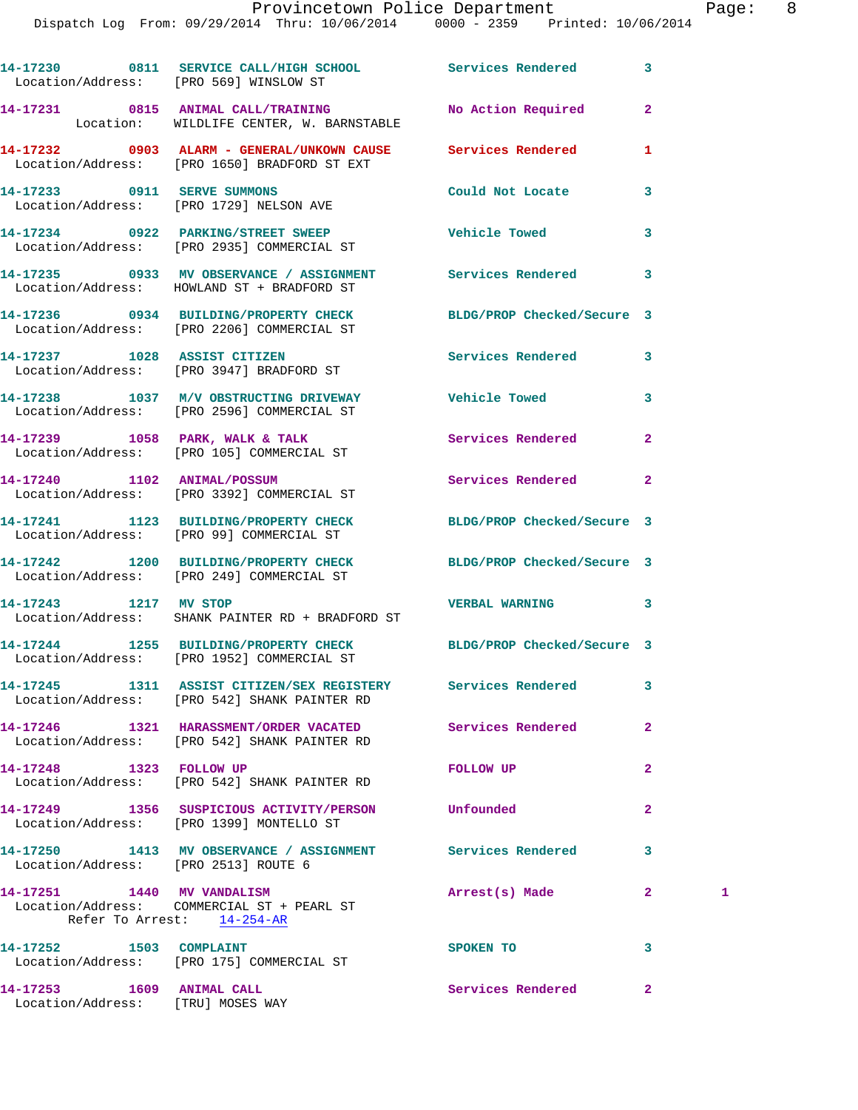Dispatch Log From: 09/29/2014 Thru: 10/06/2014 0000 - 2359 Printed: 10/06/2014

**14-17230 0811 SERVICE CALL/HIGH SCHOOL Services Rendered 3**  Location/Address: [PRO 569] WINSLOW ST **14-17231 0815 ANIMAL CALL/TRAINING No Action Required 2**  Location: WILDLIFE CENTER, W. BARNSTABLE **14-17232 0903 ALARM - GENERAL/UNKOWN CAUSE Services Rendered 1**  Location/Address: [PRO 1650] BRADFORD ST EXT **14-17233 0911 SERVE SUMMONS Could Not Locate 3**  Location/Address: [PRO 1729] NELSON AVE **14-17234 0922 PARKING/STREET SWEEP Vehicle Towed 3**  Location/Address: [PRO 2935] COMMERCIAL ST **14-17235 0933 MV OBSERVANCE / ASSIGNMENT Services Rendered 3**  Location/Address: HOWLAND ST + BRADFORD ST **14-17236 0934 BUILDING/PROPERTY CHECK BLDG/PROP Checked/Secure 3**  Location/Address: [PRO 2206] COMMERCIAL ST **14-17237 1028 ASSIST CITIZEN Services Rendered 3**  Location/Address: [PRO 3947] BRADFORD ST **14-17238 1037 M/V OBSTRUCTING DRIVEWAY Vehicle Towed 3**  Location/Address: [PRO 2596] COMMERCIAL ST **14-17239 1058 PARK, WALK & TALK Services Rendered 2**  Location/Address: [PRO 105] COMMERCIAL ST **14-17240 1102 ANIMAL/POSSUM Services Rendered 2**  Location/Address: [PRO 3392] COMMERCIAL ST **14-17241 1123 BUILDING/PROPERTY CHECK BLDG/PROP Checked/Secure 3**  Location/Address: [PRO 99] COMMERCIAL ST **14-17242 1200 BUILDING/PROPERTY CHECK BLDG/PROP Checked/Secure 3**  Location/Address: [PRO 249] COMMERCIAL ST **14-17243 1217 MV STOP VERBAL WARNING 3**  Location/Address: SHANK PAINTER RD + BRADFORD ST **14-17244 1255 BUILDING/PROPERTY CHECK BLDG/PROP Checked/Secure 3**  Location/Address: [PRO 1952] COMMERCIAL ST **14-17245 1311 ASSIST CITIZEN/SEX REGISTERY Services Rendered 3**  Location/Address: [PRO 542] SHANK PAINTER RD **14-17246 1321 HARASSMENT/ORDER VACATED Services Rendered 2**  Location/Address: [PRO 542] SHANK PAINTER RD **14-17248 1323 FOLLOW UP FOLLOW UP 2**  Location/Address: [PRO 542] SHANK PAINTER RD **14-17249 1356 SUSPICIOUS ACTIVITY/PERSON Unfounded 2**  Location/Address: [PRO 1399] MONTELLO ST **14-17250 1413 MV OBSERVANCE / ASSIGNMENT Services Rendered 3**  Location/Address: [PRO 2513] ROUTE 6 **14-17251 1440 MV VANDALISM Arrest(s) Made 2 1**  Location/Address: COMMERCIAL ST + PEARL ST Refer To Arrest: 14-254-AR **14-17252 1503 COMPLAINT SPOKEN TO 3**  Location/Address: [PRO 175] COMMERCIAL ST

- **14-17253 1609 ANIMAL CALL Services Rendered 2**
- Location/Address: [TRU] MOSES WAY
-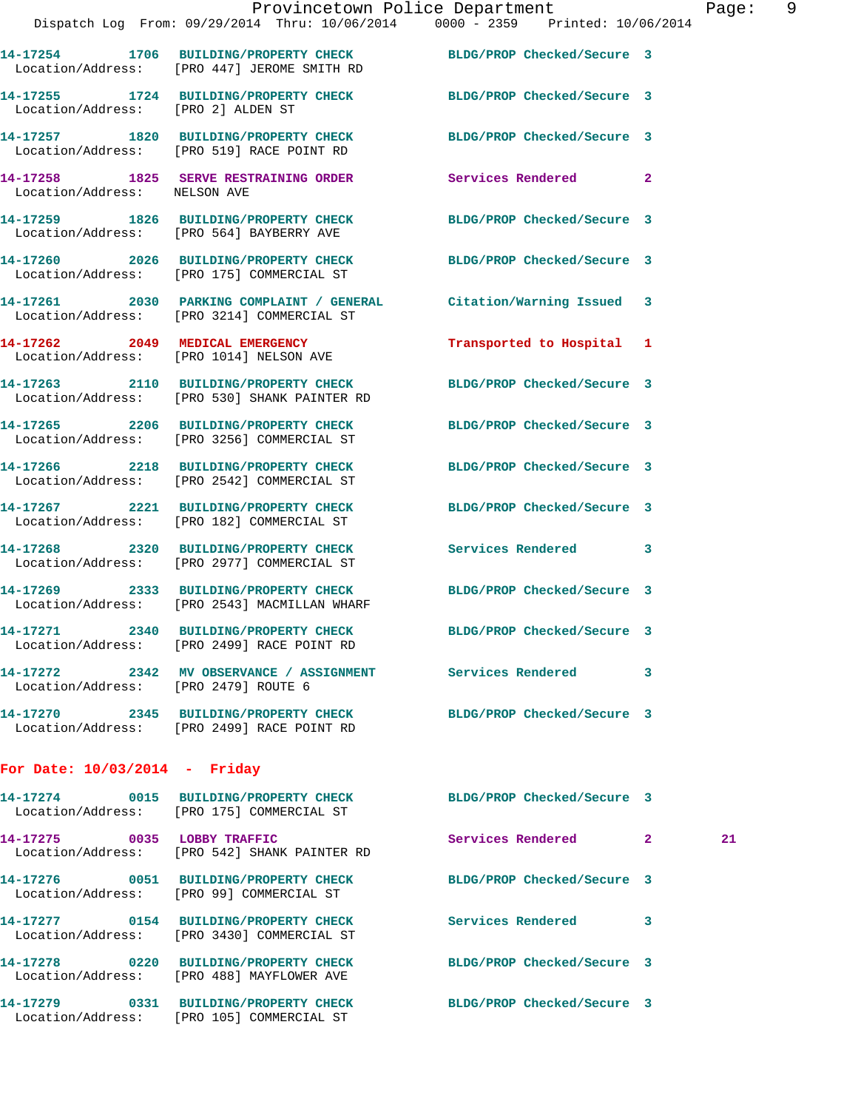|                                      | Provincetown Police Department                                                                                    |                            |              | Page |
|--------------------------------------|-------------------------------------------------------------------------------------------------------------------|----------------------------|--------------|------|
|                                      | Dispatch Log From: 09/29/2014 Thru: 10/06/2014 0000 - 2359 Printed: 10/06/2014                                    |                            |              |      |
|                                      | 14-17254 1706 BUILDING/PROPERTY CHECK BLDG/PROP Checked/Secure 3<br>Location/Address: [PRO 447] JEROME SMITH RD   |                            |              |      |
| Location/Address: [PRO 2] ALDEN ST   | 14-17255 1724 BUILDING/PROPERTY CHECK BLDG/PROP Checked/Secure 3                                                  |                            |              |      |
|                                      | 14-17257 1820 BUILDING/PROPERTY CHECK BLDG/PROP Checked/Secure 3<br>Location/Address: [PRO 519] RACE POINT RD     |                            |              |      |
|                                      | 14-17258 1825 SERVE RESTRAINING ORDER Services Rendered 2<br>Location/Address: NELSON AVE                         |                            |              |      |
|                                      | 14-17259 1826 BUILDING/PROPERTY CHECK BLDG/PROP Checked/Secure 3<br>Location/Address: [PRO 564] BAYBERRY AVE      |                            |              |      |
|                                      | 14-17260 2026 BUILDING/PROPERTY CHECK<br>Location/Address: [PRO 175] COMMERCIAL ST                                | BLDG/PROP Checked/Secure 3 |              |      |
|                                      | 14-17261 2030 PARKING COMPLAINT / GENERAL Citation/Warning Issued 3<br>Location/Address: [PRO 3214] COMMERCIAL ST |                            |              |      |
|                                      | 14-17262 2049 MEDICAL EMERGENCY<br>Location/Address: [PRO 1014] NELSON AVE                                        | Transported to Hospital 1  |              |      |
|                                      | 14-17263 2110 BUILDING/PROPERTY CHECK BLDG/PROP Checked/Secure 3<br>Location/Address: [PRO 530] SHANK PAINTER RD  |                            |              |      |
|                                      | 14-17265 2206 BUILDING/PROPERTY CHECK BLDG/PROP Checked/Secure 3<br>Location/Address: [PRO 3256] COMMERCIAL ST    |                            |              |      |
|                                      | 14-17266 2218 BUILDING/PROPERTY CHECK BLDG/PROP Checked/Secure 3<br>Location/Address: [PRO 2542] COMMERCIAL ST    |                            |              |      |
|                                      | 14-17267 2221 BUILDING/PROPERTY CHECK BLDG/PROP Checked/Secure 3<br>Location/Address: [PRO 182] COMMERCIAL ST     |                            |              |      |
|                                      | 14-17268 2320 BUILDING/PROPERTY CHECK<br>Location/Address: [PRO 2977] COMMERCIAL ST                               | Services Rendered 3        |              |      |
|                                      | 14-17269 2333 BUILDING/PROPERTY CHECK BLDG/PROP Checked/Secure 3<br>Location/Address: [PRO 2543] MACMILLAN WHARF  |                            |              |      |
|                                      | 14-17271  2340 BUILDING/PROPERTY CHECK<br>Location/Address: [PRO 2499] RACE POINT RD                              | BLDG/PROP Checked/Secure 3 |              |      |
| Location/Address: [PRO 2479] ROUTE 6 |                                                                                                                   |                            | 3            |      |
|                                      | 14-17270 2345 BUILDING/PROPERTY CHECK<br>Location/Address: [PRO 2499] RACE POINT RD                               | BLDG/PROP Checked/Secure 3 |              |      |
| For Date: $10/03/2014$ - Friday      |                                                                                                                   |                            |              |      |
|                                      | Location/Address: [PRO 175] COMMERCIAL ST                                                                         | BLDG/PROP Checked/Secure 3 |              |      |
| 14-17275 0035 LOBBY TRAFFIC          | Location/Address: [PRO 542] SHANK PAINTER RD                                                                      | Services Rendered          | $\mathbf{2}$ | 21   |
|                                      | 14-17276 0051 BUILDING/PROPERTY CHECK<br>Location/Address: [PRO 99] COMMERCIAL ST                                 | BLDG/PROP Checked/Secure 3 |              |      |

 Location/Address: [PRO 3430] COMMERCIAL ST **14-17278 0220 BUILDING/PROPERTY CHECK BLDG/PROP Checked/Secure 3**  Location/Address: [PRO 488] MAYFLOWER AVE

**14-17277 0154 BUILDING/PROPERTY CHECK Services Rendered 3** 

**14-17279 0331 BUILDING/PROPERTY CHECK BLDG/PROP Checked/Secure 3**  Location/Address: [PRO 105] COMMERCIAL ST

Page: 9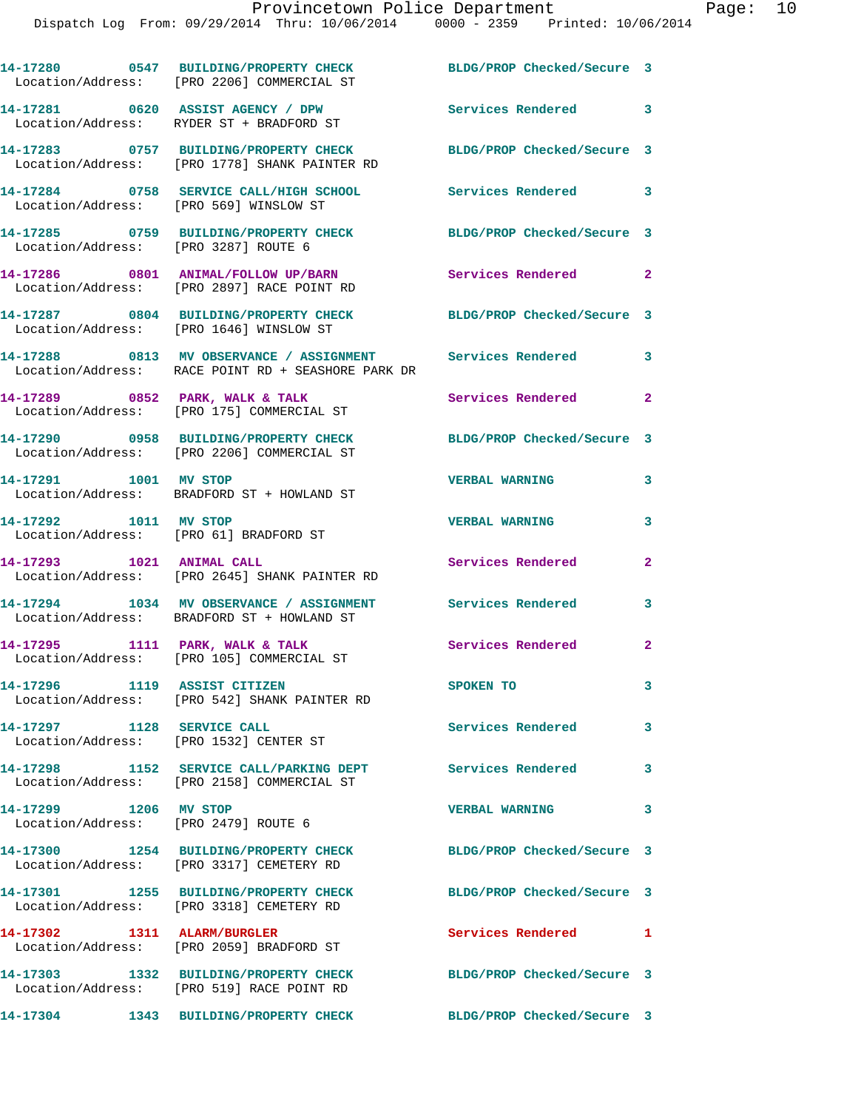|                                                                      | 14-17280 0547 BUILDING/PROPERTY CHECK<br>Location/Address: [PRO 2206] COMMERCIAL ST                              | BLDG/PROP Checked/Secure 3 |                |
|----------------------------------------------------------------------|------------------------------------------------------------------------------------------------------------------|----------------------------|----------------|
|                                                                      | 14-17281 0620 ASSIST AGENCY / DPW<br>Location/Address: RYDER ST + BRADFORD ST                                    | Services Rendered 3        |                |
|                                                                      | 14-17283 0757 BUILDING/PROPERTY CHECK<br>Location/Address: [PRO 1778] SHANK PAINTER RD                           | BLDG/PROP Checked/Secure 3 |                |
| Location/Address: [PRO 569] WINSLOW ST                               | 14-17284 0758 SERVICE CALL/HIGH SCHOOL                                                                           | Services Rendered 3        |                |
| Location/Address: [PRO 3287] ROUTE 6                                 | 14-17285 0759 BUILDING/PROPERTY CHECK                                                                            | BLDG/PROP Checked/Secure 3 |                |
|                                                                      | 14-17286 0801 ANIMAL/FOLLOW UP/BARN Services Rendered 2<br>Location/Address: [PRO 2897] RACE POINT RD            |                            |                |
|                                                                      | 14-17287 0804 BUILDING/PROPERTY CHECK BLDG/PROP Checked/Secure 3<br>Location/Address: [PRO 1646] WINSLOW ST      |                            |                |
|                                                                      | 14-17288 0813 MV OBSERVANCE / ASSIGNMENT Services Rendered<br>Location/Address: RACE POINT RD + SEASHORE PARK DR |                            | 3              |
|                                                                      | 14-17289 0852 PARK, WALK & TALK<br>Location/Address: [PRO 175] COMMERCIAL ST                                     | Services Rendered          | $\overline{2}$ |
|                                                                      | 14-17290 0958 BUILDING/PROPERTY CHECK<br>Location/Address: [PRO 2206] COMMERCIAL ST                              | BLDG/PROP Checked/Secure 3 |                |
| 14-17291 1001 MV STOP                                                | Location/Address: BRADFORD ST + HOWLAND ST                                                                       | <b>VERBAL WARNING</b>      | 3              |
| 14-17292 1011 MV STOP                                                | Location/Address: [PRO 61] BRADFORD ST                                                                           | <b>VERBAL WARNING</b>      | 3              |
| 14-17293 1021 ANIMAL CALL                                            | Location/Address: [PRO 2645] SHANK PAINTER RD                                                                    | Services Rendered          | $\overline{2}$ |
|                                                                      | 14-17294 1034 MV OBSERVANCE / ASSIGNMENT Services Rendered<br>Location/Address: BRADFORD ST + HOWLAND ST         |                            | 3              |
|                                                                      | 14-17295 1111 PARK, WALK & TALK<br>Location/Address: [PRO 105] COMMERCIAL ST                                     | Services Rendered 2        |                |
| 14-17296 1119 ASSIST CITIZEN                                         | Location/Address: [PRO 542] SHANK PAINTER RD                                                                     | SPOKEN TO                  | 3              |
| 14-17297 1128 SERVICE CALL<br>Location/Address: [PRO 1532] CENTER ST |                                                                                                                  | <b>Services Rendered</b>   | 3              |
|                                                                      | 14-17298 1152 SERVICE CALL/PARKING DEPT Services Rendered<br>Location/Address: [PRO 2158] COMMERCIAL ST          |                            | 3              |
| 14-17299 1206 MV STOP<br>Location/Address: [PRO 2479] ROUTE 6        |                                                                                                                  | <b>VERBAL WARNING</b>      | 3              |
|                                                                      | 14-17300 1254 BUILDING/PROPERTY CHECK<br>Location/Address: [PRO 3317] CEMETERY RD                                | BLDG/PROP Checked/Secure 3 |                |
|                                                                      | 14-17301 1255 BUILDING/PROPERTY CHECK<br>Location/Address: [PRO 3318] CEMETERY RD                                | BLDG/PROP Checked/Secure 3 |                |
| 14-17302 1311 ALARM/BURGLER                                          | Location/Address: [PRO 2059] BRADFORD ST                                                                         | Services Rendered 1        |                |
|                                                                      | 14-17303 1332 BUILDING/PROPERTY CHECK                                                                            | BLDG/PROP Checked/Secure 3 |                |
|                                                                      | Location/Address: [PRO 519] RACE POINT RD<br>14-17304 1343 BUILDING/PROPERTY CHECK                               | BLDG/PROP Checked/Secure 3 |                |
|                                                                      |                                                                                                                  |                            |                |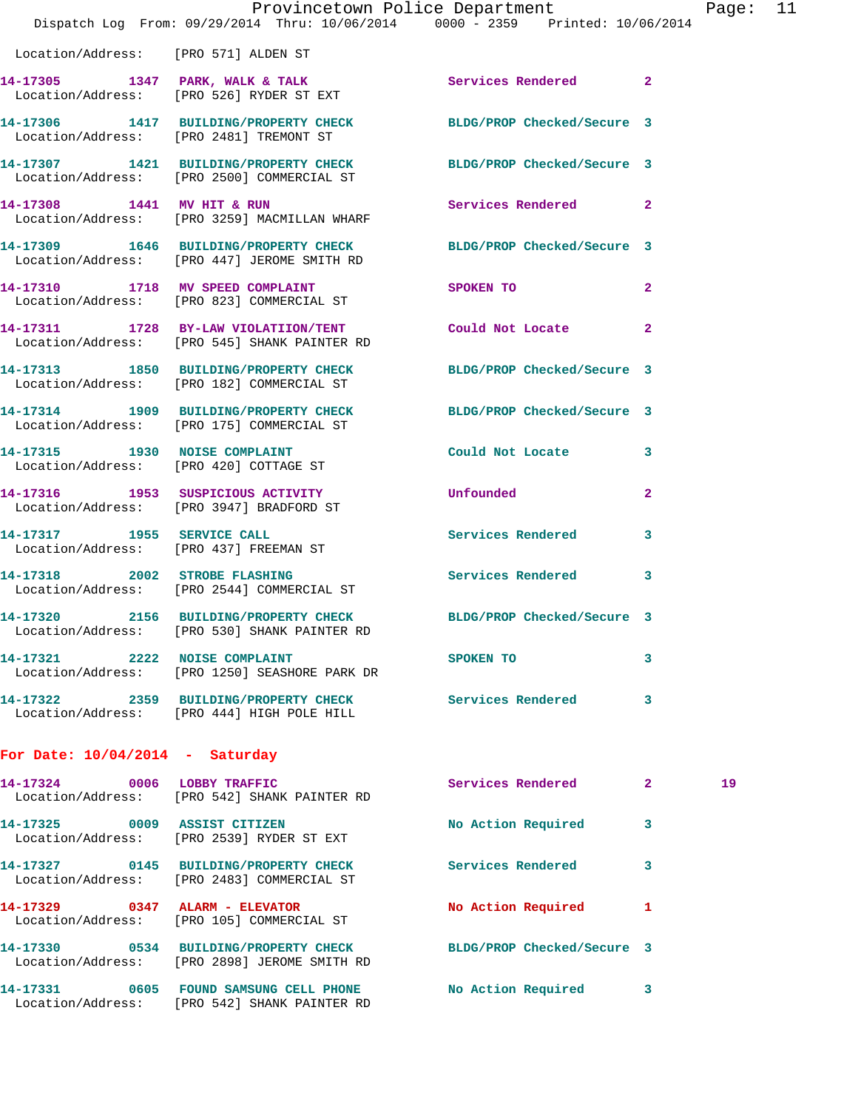|                                      | Provincetown Police Department The Page: 11                                                                      |                             |                |    |  |
|--------------------------------------|------------------------------------------------------------------------------------------------------------------|-----------------------------|----------------|----|--|
|                                      | Dispatch Log From: 09/29/2014 Thru: 10/06/2014 0000 - 2359 Printed: 10/06/2014                                   |                             |                |    |  |
| Location/Address: [PRO 571] ALDEN ST |                                                                                                                  |                             |                |    |  |
|                                      | 14-17305 1347 PARK, WALK & TALK 6 Services Rendered 2<br>Location/Address: [PRO 526] RYDER ST EXT                |                             |                |    |  |
|                                      | 14-17306 1417 BUILDING/PROPERTY CHECK BLDG/PROP Checked/Secure 3<br>Location/Address: [PRO 2481] TREMONT ST      |                             |                |    |  |
|                                      | 14-17307 1421 BUILDING/PROPERTY CHECK BLDG/PROP Checked/Secure 3<br>Location/Address: [PRO 2500] COMMERCIAL ST   |                             |                |    |  |
|                                      | 14-17308 1441 MV HIT & RUN<br>Location/Address: [PRO 3259] MACMILLAN WHARF                                       | Services Rendered 2         |                |    |  |
|                                      | 14-17309 1646 BUILDING/PROPERTY CHECK BLDG/PROP Checked/Secure 3<br>Location/Address: [PRO 447] JEROME SMITH RD  |                             |                |    |  |
|                                      | 14-17310 1718 MV SPEED COMPLAINT<br>Location/Address: [PRO 823] COMMERCIAL ST                                    | SPOKEN TO AND THE SPOKEN TO | $\mathbf{2}$   |    |  |
|                                      | 14-17311 1728 BY-LAW VIOLATIION/TENT Could Not Locate<br>Location/Address: [PRO 545] SHANK PAINTER RD            |                             | $\overline{2}$ |    |  |
|                                      | 14-17313 1850 BUILDING/PROPERTY CHECK BLDG/PROP Checked/Secure 3<br>Location/Address: [PRO 182] COMMERCIAL ST    |                             |                |    |  |
|                                      | 14-17314 1909 BUILDING/PROPERTY CHECK BLDG/PROP Checked/Secure 3<br>Location/Address: [PRO 175] COMMERCIAL ST    |                             |                |    |  |
|                                      | 14-17315 1930 NOISE COMPLAINT<br>Location/Address: [PRO 420] COTTAGE ST                                          | Could Not Locate            | 3              |    |  |
|                                      | 14-17316 1953 SUSPICIOUS ACTIVITY Unfounded<br>Location/Address: [PRO 3947] BRADFORD ST                          |                             | $\mathbf{2}$   |    |  |
|                                      | 14-17317 1955 SERVICE CALL<br>Location/Address: [PRO 437] FREEMAN ST                                             | Services Rendered           | 3              |    |  |
|                                      | 14-17318 2002 STROBE FLASHING<br>Location/Address: [PRO 2544] COMMERCIAL ST                                      | Services Rendered 3         |                |    |  |
|                                      | 14-17320 2156 BUILDING/PROPERTY CHECK BLDG/PROP Checked/Secure 3<br>Location/Address: [PRO 530] SHANK PAINTER RD |                             |                |    |  |
|                                      | 14-17321 2222 NOISE COMPLAINT<br>Location/Address: [PRO 1250] SEASHORE PARK DR                                   | SPOKEN TO                   | 3              |    |  |
|                                      | 14-17322 2359 BUILDING/PROPERTY CHECK Services Rendered<br>Location/Address: [PRO 444] HIGH POLE HILL            |                             | 3              |    |  |
| For Date: $10/04/2014$ - Saturday    |                                                                                                                  |                             |                |    |  |
|                                      | 14-17324 0006 LOBBY TRAFFIC<br>Location/Address: [PRO 542] SHANK PAINTER RD                                      | Services Rendered 2         |                | 19 |  |
|                                      | 14-17325 0009 ASSIST CITIZEN<br>Location/Address: [PRO 2539] RYDER ST EXT                                        | No Action Required          | 3              |    |  |
|                                      | 14-17327 0145 BUILDING/PROPERTY CHECK<br>Location/Address: [PRO 2483] COMMERCIAL ST                              | <b>Services Rendered</b>    | 3              |    |  |
|                                      | 14-17329 0347 ALARM - ELEVATOR<br>Location/Address: [PRO 105] COMMERCIAL ST                                      | No Action Required 1        |                |    |  |
|                                      | 14-17330 0534 BUILDING/PROPERTY CHECK<br>Location/Address: [PRO 2898] JEROME SMITH RD                            | BLDG/PROP Checked/Secure 3  |                |    |  |
|                                      | 14-17331 0605 FOUND SAMSUNG CELL PHONE<br>Location/Address: [PRO 542] SHANK PAINTER RD                           | No Action Required          | 3              |    |  |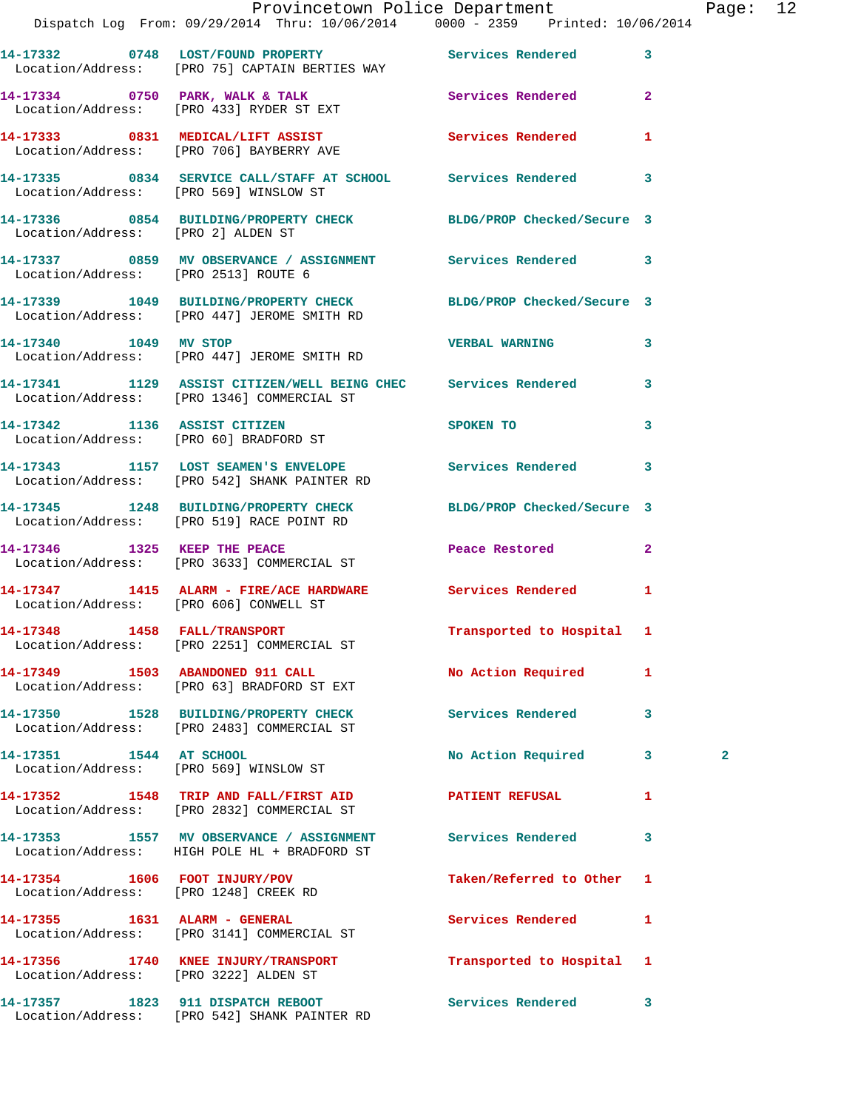|                                       |                                                                                                                               | Provincetown Police Department<br>Dispatch Log From: 09/29/2014 Thru: 10/06/2014 0000 - 2359 Printed: 10/06/2014 | Page: 12       |
|---------------------------------------|-------------------------------------------------------------------------------------------------------------------------------|------------------------------------------------------------------------------------------------------------------|----------------|
|                                       | 14-17332 0748 LOST/FOUND PROPERTY Services Rendered 3<br>Location/Address: [PRO 75] CAPTAIN BERTIES WAY                       |                                                                                                                  |                |
|                                       | 14-17334 0750 PARK, WALK & TALK Services Rendered 2<br>Location/Address: [PRO 433] RYDER ST EXT                               |                                                                                                                  |                |
|                                       | 14-17333 0831 MEDICAL/LIFT ASSIST                 Services Rendered         1<br>Location/Address:     [PRO 706] BAYBERRY AVE |                                                                                                                  |                |
|                                       | 14-17335 0834 SERVICE CALL/STAFF AT SCHOOL Services Rendered 3<br>Location/Address: [PRO 569] WINSLOW ST                      |                                                                                                                  |                |
| Location/Address: [PRO 2] ALDEN ST    | 14-17336 0854 BUILDING/PROPERTY CHECK BLDG/PROP Checked/Secure 3                                                              |                                                                                                                  |                |
| Location/Address: [PRO 2513] ROUTE 6  | 14-17337 0859 MV OBSERVANCE / ASSIGNMENT Services Rendered 3                                                                  |                                                                                                                  |                |
|                                       | 14-17339 1049 BUILDING/PROPERTY CHECK BLDG/PROP Checked/Secure 3<br>Location/Address: [PRO 447] JEROME SMITH RD               |                                                                                                                  |                |
|                                       | 14-17340 1049 MV STOP<br>Location/Address: [PRO 447] JEROME SMITH RD                                                          | VERBAL WARNING 3                                                                                                 |                |
|                                       | 14-17341 1129 ASSIST CITIZEN/WELL BEING CHEC Services Rendered 3<br>Location/Address: [PRO 1346] COMMERCIAL ST                |                                                                                                                  |                |
|                                       | 14-17342 1136 ASSIST CITIZEN<br>Location/Address: [PRO 60] BRADFORD ST                                                        | SPOKEN TO AND THE SPOKEN TO<br>$\mathbf{3}$                                                                      |                |
|                                       | 14-17343 1157 LOST SEAMEN'S ENVELOPE 5ervices Rendered 3<br>Location/Address: [PRO 542] SHANK PAINTER RD                      |                                                                                                                  |                |
|                                       | 14-17345 1248 BUILDING/PROPERTY CHECK BLDG/PROP Checked/Secure 3<br>Location/Address: [PRO 519] RACE POINT RD                 |                                                                                                                  |                |
|                                       | 14-17346 1325 KEEP THE PEACE<br>Location/Address: [PRO 3633] COMMERCIAL ST                                                    | Peace Restored<br>$\mathbf{2}$                                                                                   |                |
|                                       | 14-17347 1415 ALARM - FIRE/ACE HARDWARE Services Rendered 1<br>Location/Address: [PRO 606] CONWELL ST                         |                                                                                                                  |                |
|                                       | 14-17348 1458 FALL/TRANSPORT<br>Location/Address: [PRO 2251] COMMERCIAL ST                                                    | Transported to Hospital 1                                                                                        |                |
|                                       | 14-17349 1503 ABANDONED 911 CALL<br>Location/Address: [PRO 63] BRADFORD ST EXT                                                | No Action Required 1                                                                                             |                |
|                                       | 14-17350 1528 BUILDING/PROPERTY CHECK Services Rendered 3<br>Location/Address: [PRO 2483] COMMERCIAL ST                       |                                                                                                                  |                |
|                                       | 14-17351 1544 AT SCHOOL<br>Location/Address: [PRO 569] WINSLOW ST                                                             | No Action Required 3                                                                                             | $\overline{a}$ |
|                                       | 14-17352 1548 TRIP AND FALL/FIRST AID PATIENT REFUSAL<br>Location/Address: [PRO 2832] COMMERCIAL ST                           | 1                                                                                                                |                |
|                                       | 14-17353 1557 MV OBSERVANCE / ASSIGNMENT<br>Location/Address: HIGH POLE HL + BRADFORD ST                                      | <b>Services Rendered</b><br>3                                                                                    |                |
| 14-17354 1606 FOOT INJURY/POV         | Location/Address: [PRO 1248] CREEK RD                                                                                         | Taken/Referred to Other 1                                                                                        |                |
|                                       | 14-17355 1631 ALARM - GENERAL<br>Location/Address: [PRO 3141] COMMERCIAL ST                                                   | Services Rendered<br>$\mathbf{1}$                                                                                |                |
| Location/Address: [PRO 3222] ALDEN ST | 14-17356 1740 KNEE INJURY/TRANSPORT                                                                                           | Transported to Hospital 1                                                                                        |                |
|                                       | 14-17357 1823 911 DISPATCH REBOOT 5ervices Rendered 3                                                                         |                                                                                                                  |                |

Location/Address: [PRO 542] SHANK PAINTER RD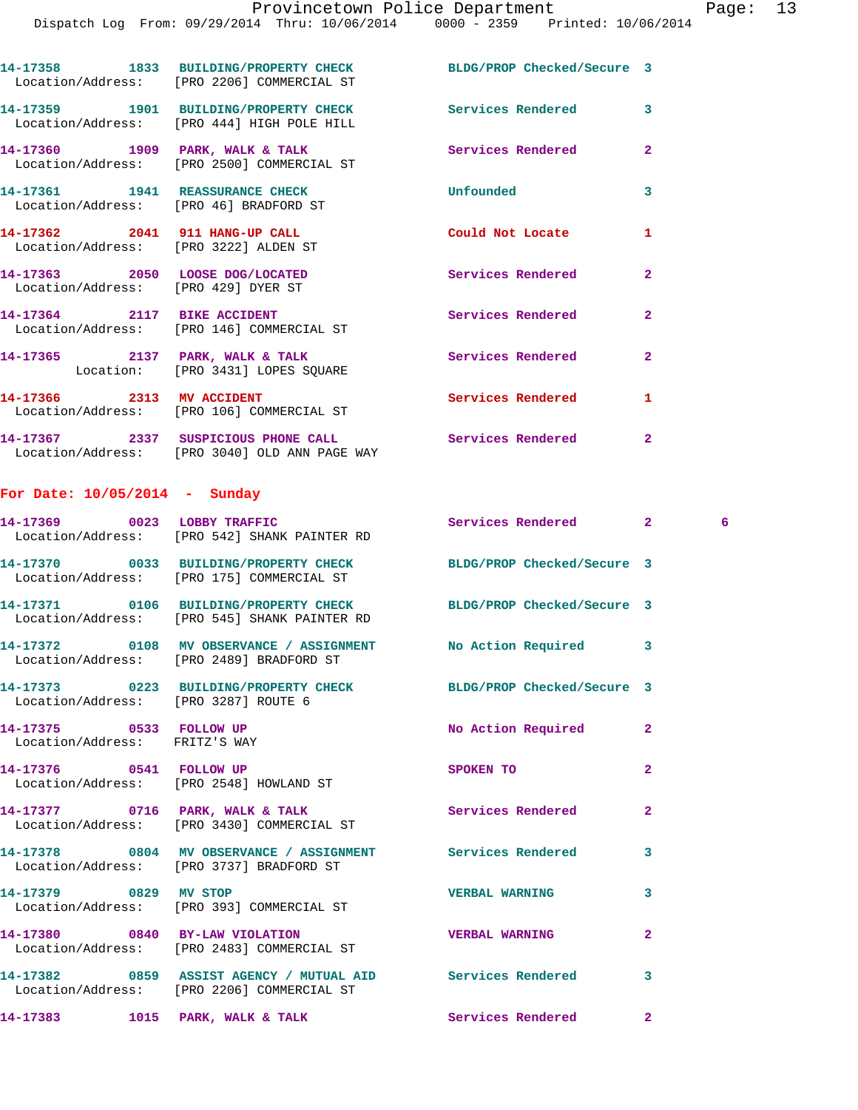|                                                                           | 14-17358 1833 BUILDING/PROPERTY CHECK BLDG/PROP Checked/Secure 3<br>Location/Address: [PRO 2206] COMMERCIAL ST |                          |                |
|---------------------------------------------------------------------------|----------------------------------------------------------------------------------------------------------------|--------------------------|----------------|
|                                                                           | Location/Address: [PRO 444] HIGH POLE HILL                                                                     |                          | $\mathbf{3}$   |
|                                                                           | 14-17360 1909 PARK, WALK & TALK<br>Location/Address: [PRO 2500] COMMERCIAL ST                                  | Services Rendered        | $\overline{2}$ |
| 14-17361 1941 REASSURANCE CHECK<br>Location/Address: [PRO 46] BRADFORD ST |                                                                                                                | Unfounded                | $\overline{3}$ |
| 14-17362 2041 911 HANG-UP CALL<br>Location/Address: [PRO 3222] ALDEN ST   |                                                                                                                | Could Not Locate         | $\mathbf{1}$   |
| 14-17363 2050 LOOSE DOG/LOCATED<br>Location/Address: [PRO 429] DYER ST    |                                                                                                                | Services Rendered        | $\overline{2}$ |
| 14-17364 2117 BIKE ACCIDENT                                               | Location/Address: [PRO 146] COMMERCIAL ST                                                                      | <b>Services Rendered</b> | $\overline{2}$ |
|                                                                           | 14-17365 2137 PARK, WALK & TALK<br>Location: [PRO 3431] LOPES SOUARE                                           | <b>Services Rendered</b> | $\overline{2}$ |
|                                                                           | 14-17366 2313 MV ACCIDENT<br>Location/Address: [PRO 106] COMMERCIAL ST                                         | <b>Services Rendered</b> | $\mathbf{1}$   |
|                                                                           | 14-17367 2337 SUSPICIOUS PHONE CALL<br>Location/Address: [PRO 3040] OLD ANN PAGE WAY                           | <b>Services Rendered</b> | $\overline{2}$ |

## **For Date: 10/05/2014 - Sunday**

|                                                          | 14-17369 0023 LOBBY TRAFFIC<br>Location/Address: [PRO 542] SHANK PAINTER RD                                      | Services Rendered     | $2^{\circ}$             | 6 |
|----------------------------------------------------------|------------------------------------------------------------------------------------------------------------------|-----------------------|-------------------------|---|
|                                                          | 14-17370 0033 BUILDING/PROPERTY CHECK BLDG/PROP Checked/Secure 3<br>Location/Address: [PRO 175] COMMERCIAL ST    |                       |                         |   |
|                                                          | 14-17371 0106 BUILDING/PROPERTY CHECK BLDG/PROP Checked/Secure 3<br>Location/Address: [PRO 545] SHANK PAINTER RD |                       |                         |   |
|                                                          | Location/Address: [PRO 2489] BRADFORD ST                                                                         |                       |                         |   |
| Location/Address: [PRO 3287] ROUTE 6                     | 14-17373 0223 BUILDING/PROPERTY CHECK BLDG/PROP Checked/Secure 3                                                 |                       |                         |   |
| 14-17375 0533 FOLLOW UP<br>Location/Address: FRITZ'S WAY |                                                                                                                  | No Action Required    | $\overline{2}$          |   |
|                                                          | Location/Address: [PRO 2548] HOWLAND ST                                                                          | SPOKEN TO             | $\overline{2}$          |   |
|                                                          | 14-17377 0716 PARK, WALK & TALK 1999 Services Rendered<br>Location/Address: [PRO 3430] COMMERCIAL ST             |                       | $\overline{2}$          |   |
|                                                          | 14-17378 0804 MV OBSERVANCE / ASSIGNMENT Services Rendered<br>Location/Address: [PRO 3737] BRADFORD ST           |                       | $\overline{\mathbf{3}}$ |   |
| 14-17379 0829 MV STOP                                    | Location/Address: [PRO 393] COMMERCIAL ST                                                                        | <b>VERBAL WARNING</b> | 3                       |   |
|                                                          | 14-17380 0840 BY-LAW VIOLATION<br>Location/Address: [PRO 2483] COMMERCIAL ST                                     | <b>VERBAL WARNING</b> | $\overline{2}$          |   |
|                                                          | 14-17382 0859 ASSIST AGENCY / MUTUAL AID Services Rendered<br>Location/Address: [PRO 2206] COMMERCIAL ST         |                       | $\overline{3}$          |   |
|                                                          | 14-17383 1015 PARK, WALK & TALK                                                                                  | Services Rendered     | $\mathbf{2}$            |   |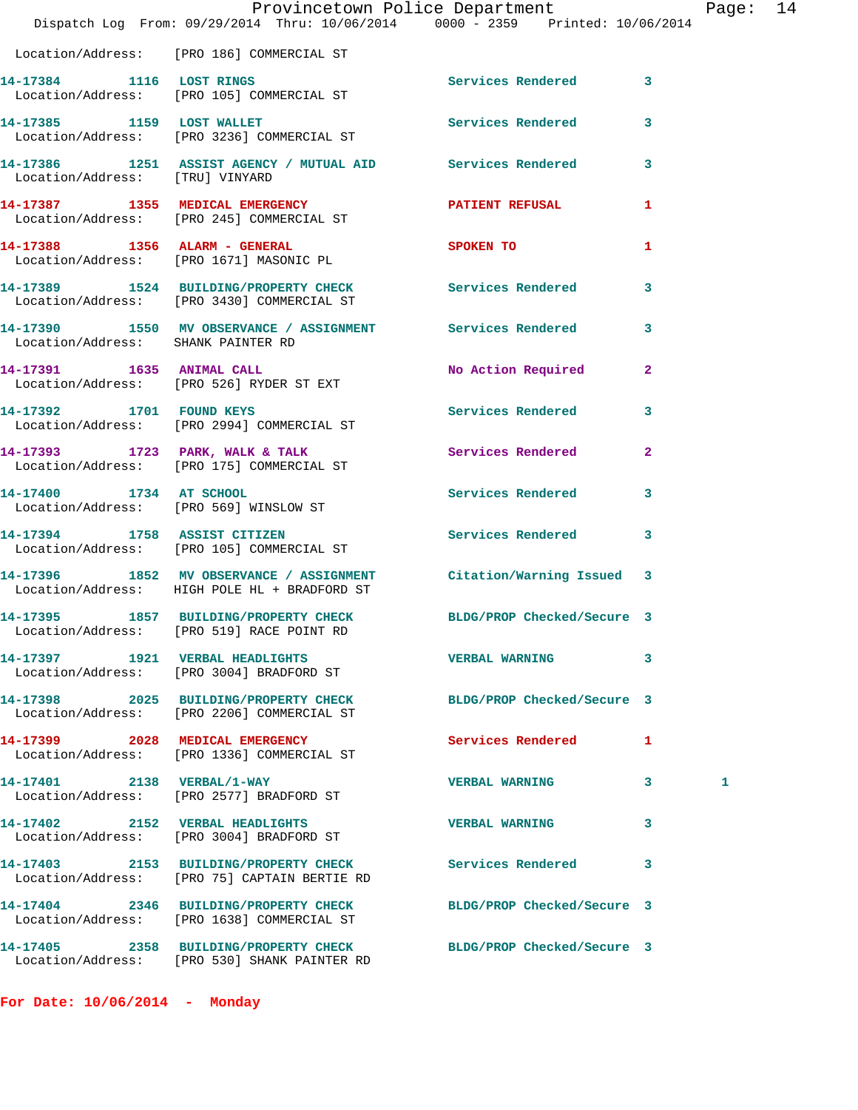|                                    | Provincetown Police Department                                                                                     |                            |              | Page: 14 |  |
|------------------------------------|--------------------------------------------------------------------------------------------------------------------|----------------------------|--------------|----------|--|
|                                    | Dispatch Log From: 09/29/2014 Thru: 10/06/2014 0000 - 2359 Printed: 10/06/2014                                     |                            |              |          |  |
|                                    | Location/Address: [PRO 186] COMMERCIAL ST                                                                          |                            |              |          |  |
|                                    | 14-17384 1116 LOST RINGS<br>Location/Address: [PRO 105] COMMERCIAL ST                                              | Services Rendered 3        |              |          |  |
|                                    | 14-17385 1159 LOST WALLET Services Rendered 3<br>Location/Address: [PRO 3236] COMMERCIAL ST                        |                            |              |          |  |
|                                    | 14-17386 1251 ASSIST AGENCY / MUTUAL AID Services Rendered 3<br>Location/Address: [TRU] VINYARD                    |                            |              |          |  |
|                                    | 14-17387 1355 MEDICAL EMERGENCY PATIENT REFUSAL<br>Location/Address: [PRO 245] COMMERCIAL ST                       |                            | $\mathbf{1}$ |          |  |
|                                    | 14-17388 1356 ALARM - GENERAL<br>Location/Address: [PRO 1671] MASONIC PL                                           | SPOKEN TO                  | 1            |          |  |
|                                    | 14-17389 1524 BUILDING/PROPERTY CHECK Services Rendered 3<br>Location/Address: [PRO 3430] COMMERCIAL ST            |                            |              |          |  |
| Location/Address: SHANK PAINTER RD | 14-17390 1550 MV OBSERVANCE / ASSIGNMENT Services Rendered 3                                                       |                            |              |          |  |
|                                    | 14-17391 1635 ANIMAL CALL<br>Location/Address: [PRO 526] RYDER ST EXT                                              | No Action Required 2       |              |          |  |
|                                    | 14-17392 1701 FOUND KEYS<br>Location/Address: [PRO 2994] COMMERCIAL ST                                             | Services Rendered 3        |              |          |  |
|                                    | 14-17393 1723 PARK, WALK & TALK Services Rendered 2<br>Location/Address: [PRO 175] COMMERCIAL ST                   |                            |              |          |  |
| 14-17400 1734 AT SCHOOL            | Location/Address: [PRO 569] WINSLOW ST                                                                             | Services Rendered 3        |              |          |  |
|                                    | 14-17394 1758 ASSIST CITIZEN<br>Location/Address: [PRO 105] COMMERCIAL ST                                          | Services Rendered 3        |              |          |  |
|                                    | 14-17396 1852 MV OBSERVANCE / ASSIGNMENT Citation/Warning Issued 3<br>Location/Address: HIGH POLE HL + BRADFORD ST |                            |              |          |  |
|                                    | 14-17395 1857 BUILDING/PROPERTY CHECK BLDG/PROP Checked/Secure 3<br>Location/Address: [PRO 519] RACE POINT RD      |                            |              |          |  |
|                                    | 14-17397 1921 VERBAL HEADLIGHTS<br>Location/Address: [PRO 3004] BRADFORD ST                                        | <b>VERBAL WARNING</b>      | 3            |          |  |
|                                    | 14-17398 2025 BUILDING/PROPERTY CHECK BLDG/PROP Checked/Secure 3<br>Location/Address: [PRO 2206] COMMERCIAL ST     |                            |              |          |  |
|                                    | 14-17399 2028 MEDICAL EMERGENCY<br>Location/Address: [PRO 1336] COMMERCIAL ST                                      | Services Rendered          | $\mathbf{1}$ |          |  |
|                                    | 14-17401 2138 VERBAL/1-WAY<br>Location/Address: [PRO 2577] BRADFORD ST                                             | <b>VERBAL WARNING</b>      | 3            | 1        |  |
|                                    | 14-17402 2152 VERBAL HEADLIGHTS<br>Location/Address: [PRO 3004] BRADFORD ST                                        | <b>VERBAL WARNING</b>      | 3            |          |  |
|                                    | 14-17403 2153 BUILDING/PROPERTY CHECK<br>Location/Address: [PRO 75] CAPTAIN BERTIE RD                              | <b>Services Rendered</b>   | 3            |          |  |
|                                    | 14-17404 2346 BUILDING/PROPERTY CHECK BLDG/PROP Checked/Secure 3<br>Location/Address: [PRO 1638] COMMERCIAL ST     |                            |              |          |  |
|                                    | 14-17405 2358 BUILDING/PROPERTY CHECK<br>Location/Address: [PRO 530] SHANK PAINTER RD                              | BLDG/PROP Checked/Secure 3 |              |          |  |

**For Date: 10/06/2014 - Monday**